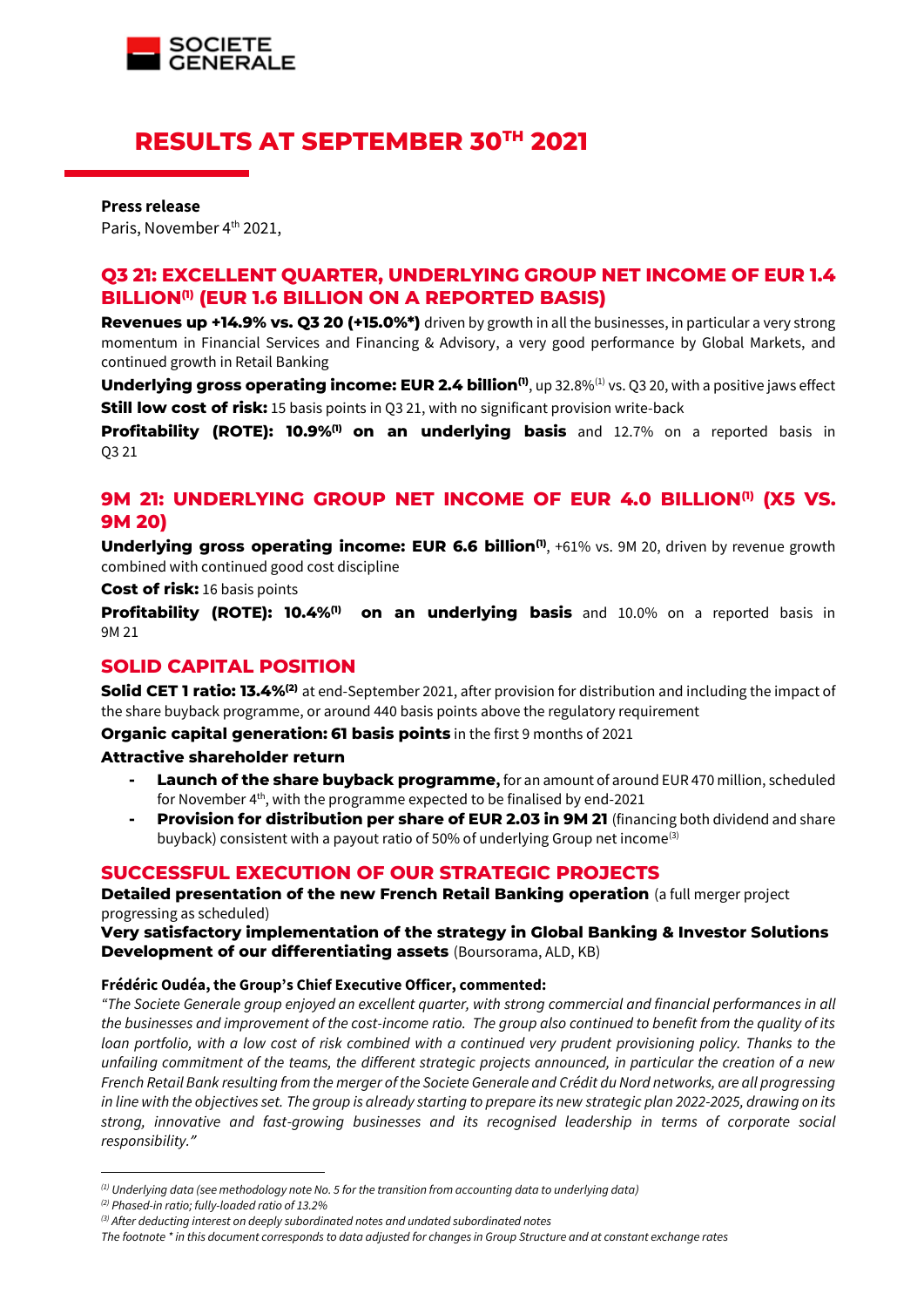

# **RESULTS AT SEPTEMBER 30TH 2021**

**Press release**

Paris, November 4<sup>th</sup> 2021,

## **Q3 21: EXCELLENT QUARTER, UNDERLYING GROUP NET INCOME OF EUR 1.4 BILLION(1) (EUR 1.6 BILLION ON A REPORTED BASIS)**

**Revenues up +14.9% vs. Q3 20 (+15.0%\*)** driven by growth in all the businesses, in particular a very strong momentum in Financial Services and Financing & Advisory, a very good performance by Global Markets, and continued growth in Retail Banking

**Underlying gross operating income: EUR 2.4 billion<sup>(1)</sup>, up 32.8%<sup>(1)</sup> vs. Q3 20, with a positive jaws effect Still low cost of risk:** 15 basis points in Q3 21, with no significant provision write-back

**Profitability (ROTE): 10.9%(1) on an underlying basis** and 12.7% on a reported basis in Q3 21

## **9M 21: UNDERLYING GROUP NET INCOME OF EUR 4.0 BILLION(1) (X5 VS. 9M 20)**

**Underlying gross operating income: EUR 6.6 billion<sup>(1)</sup>, +61% vs. 9M 20, driven by revenue growth** combined with continued good cost discipline

**Cost of risk:** 16 basis points

**Profitability (ROTE): 10.4%(1) on an underlying basis** and 10.0% on a reported basis in 9M 21

## **SOLID CAPITAL POSITION**

**Solid CET 1 ratio: 13.4%(2)** at end-September 2021, after provision for distribution and including the impact of the share buyback programme, or around 440 basis points above the regulatory requirement

**Organic capital generation: 61 basis points** in the first 9 months of 2021

#### **Attractive shareholder return**

- **- Launch of the share buyback programme,** for an amount of around EUR 470 million, scheduled for November 4<sup>th</sup>, with the programme expected to be finalised by end-2021
- **- Provision for distribution per share of EUR 2.03 in 9M 21** (financing both dividend and share buyback) consistent with a payout ratio of 50% of underlying Group net income<sup>(3)</sup>

#### **SUCCESSFUL EXECUTION OF OUR STRATEGIC PROJECTS**

**Detailed presentation of the new French Retail Banking operation** (a full merger project progressing as scheduled)

**Very satisfactory implementation of the strategy in Global Banking & Investor Solutions Development of our differentiating assets** (Boursorama, ALD, KB)

#### **Frédéric Oudéa, the Group's Chief Executive Officer, commented:**

*"The Societe Generale group enjoyed an excellent quarter, with strong commercial and financial performances in all the businesses and improvement of the cost-income ratio. The group also continued to benefit from the quality of its loan portfolio, with a low cost of risk combined with a continued very prudent provisioning policy. Thanks to the unfailing commitment of the teams, the different strategic projects announced, in particular the creation of a new French Retail Bank resulting from the merger of the Societe Generale and Crédit du Nord networks, are all progressing in line with the objectives set. The group is already starting to prepare its new strategic plan 2022-2025, drawing on its strong, innovative and fast-growing businesses and its recognised leadership in terms of corporate social responsibility."*

*<sup>(1)</sup> Underlying data (see methodology note No. 5 for the transition from accounting data to underlying data)* 

*<sup>(2)</sup> Phased-in ratio; fully-loaded ratio of 13.2%*

*<sup>(3)</sup> After deducting interest on deeply subordinated notes and undated subordinated notes*

*The footnote \* in this document corresponds to data adjusted for changes in Group Structure and at constant exchange rates*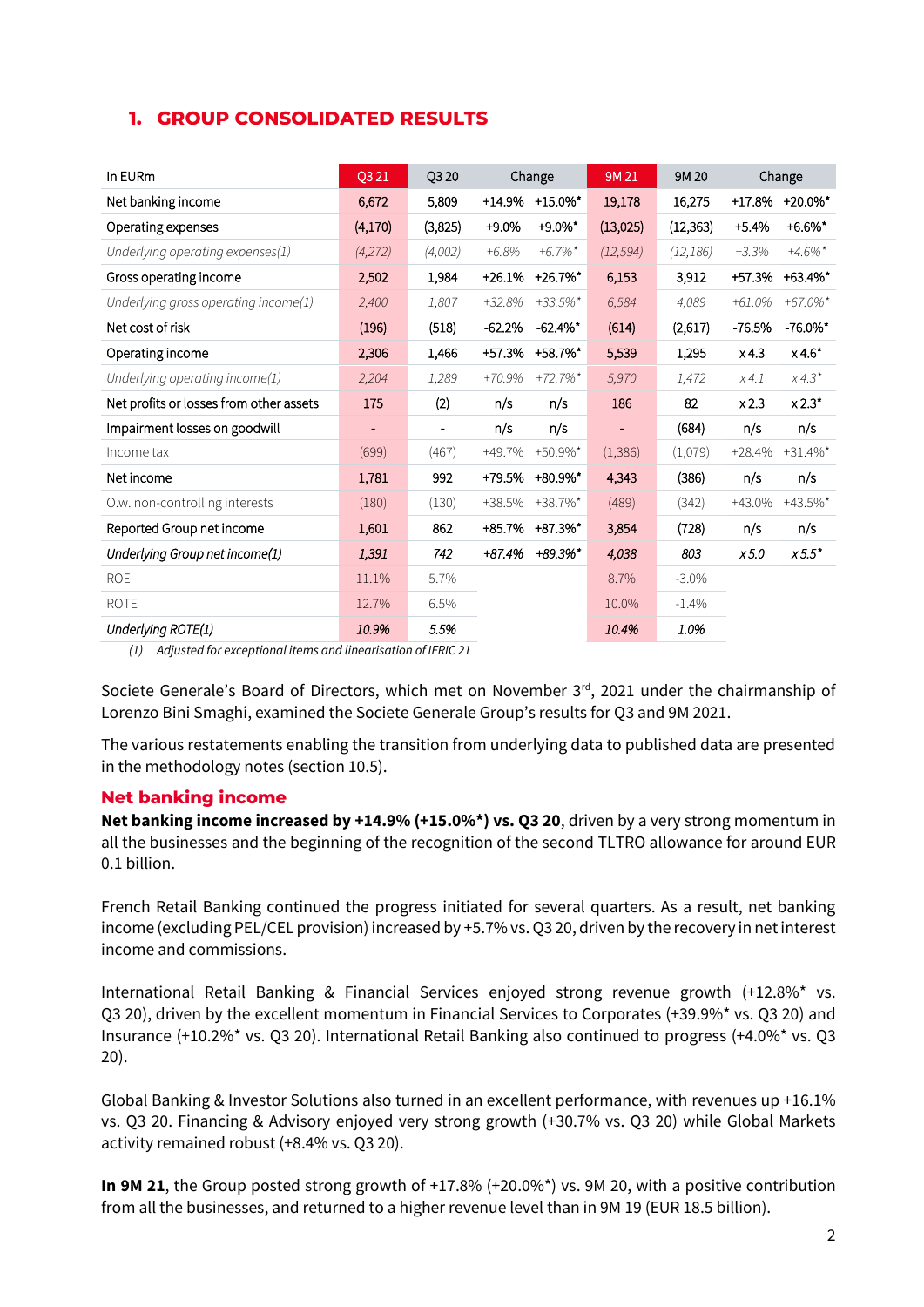# **1. GROUP CONSOLIDATED RESULTS**

| In EURm                                 | Q3 21                    | Q3 20                    |          | Change                 | 9M 21     | 9M 20     |           | Change                |
|-----------------------------------------|--------------------------|--------------------------|----------|------------------------|-----------|-----------|-----------|-----------------------|
| Net banking income                      | 6,672                    | 5,809                    | $+14.9%$ | $+15.0\%$ *            | 19,178    | 16,275    | $+17.8%$  | $+20.0\%$ *           |
| Operating expenses                      | (4, 170)                 | (3,825)                  | +9.0%    | $+9.0\%$ *             | (13,025)  | (12, 363) | $+5.4%$   | $+6.6\%$ *            |
| Underlying operating expenses(1)        | (4,272)                  | (4,002)                  | $+6.8%$  | $+6.7\%$ <sup>*</sup>  | (12, 594) | (12, 186) | $+3.3%$   | $+4.6\%$ <sup>*</sup> |
| Gross operating income                  | 2,502                    | 1,984                    | $+26.1%$ | $+26.7%$ *             | 6,153     | 3,912     | +57.3%    | $+63.4\%$ *           |
| Underlying gross operating income(1)    | 2,400                    | 1,807                    | +32.8%   | $+33.5\%$ <sup>*</sup> | 6,584     | 4,089     | $+61.0%$  | $+67.0\%$ *           |
| Net cost of risk                        | (196)                    | (518)                    | $-62.2%$ | $-62.4%$ *             | (614)     | (2,617)   | $-76.5%$  | $-76.0\%$ *           |
| Operating income                        | 2,306                    | 1,466                    | $+57.3%$ | +58.7%*                | 5,539     | 1,295     | x 4.3     | $x 4.6^*$             |
| Underlying operating income(1)          | 2,204                    | 1,289                    | $+70.9%$ | $+72.7\%$ <sup>*</sup> | 5,970     | 1,472     | X4.1      | $X4.3*$               |
| Net profits or losses from other assets | 175                      | (2)                      | n/s      | n/s                    | 186       | 82        | x 2.3     | $x 2.3^*$             |
| Impairment losses on goodwill           | $\overline{\phantom{a}}$ | $\overline{\phantom{a}}$ | n/s      | n/s                    | ÷,        | (684)     | n/s       | n/s                   |
| Income tax                              | (699)                    | (467)                    | +49.7%   | $+50.9\%$ *            | (1, 386)  | (1,079)   | $+28.4%$  | $+31.4\%$ *           |
| Net income                              | 1,781                    | 992                      | +79.5%   | $+80.9%$ *             | 4,343     | (386)     | n/s       | n/s                   |
| O.w. non-controlling interests          | (180)                    | (130)                    | +38.5%   | $+38.7\%$ *            | (489)     | (342)     | $+43.0\%$ | $+43.5\%$ *           |
| Reported Group net income               | 1,601                    | 862                      | +85.7%   | $+87.3%$               | 3,854     | (728)     | n/s       | n/s                   |
| Underlying Group net income(1)          | 1,391                    | 742                      | +87.4%   | $+89.3%$ *             | 4,038     | 803       | x5.0      | $x 5.5*$              |
| <b>ROE</b>                              | 11.1%                    | 5.7%                     |          |                        | 8.7%      | $-3.0\%$  |           |                       |
| <b>ROTE</b>                             | 12.7%                    | 6.5%                     |          |                        | 10.0%     | $-1.4\%$  |           |                       |
| Underlying ROTE(1)                      | 10.9%                    | 5.5%                     |          |                        | 10.4%     | 1.0%      |           |                       |

*(1) Adjusted for exceptional items and linearisation of IFRIC 21*

Societe Generale's Board of Directors, which met on November 3rd, 2021 under the chairmanship of Lorenzo Bini Smaghi, examined the Societe Generale Group's results for Q3 and 9M 2021.

The various restatements enabling the transition from underlying data to published data are presented in the methodology notes (section 10.5).

#### **Net banking income**

**Net banking income increased by +14.9% (+15.0%\*) vs. Q3 20**, driven by a very strong momentum in all the businesses and the beginning of the recognition of the second TLTRO allowance for around EUR 0.1 billion.

French Retail Banking continued the progress initiated for several quarters. As a result, net banking income (excluding PEL/CEL provision) increased by +5.7% vs. Q3 20, driven by the recovery in net interest income and commissions.

International Retail Banking & Financial Services enjoyed strong revenue growth (+12.8%\* vs. Q3 20), driven by the excellent momentum in Financial Services to Corporates (+39.9%\* vs. Q3 20) and Insurance (+10.2%\* vs. Q3 20). International Retail Banking also continued to progress (+4.0%\* vs. Q3 20).

Global Banking & Investor Solutions also turned in an excellent performance, with revenues up +16.1% vs. Q3 20. Financing & Advisory enjoyed very strong growth (+30.7% vs. Q3 20) while Global Markets activity remained robust (+8.4% vs. Q3 20).

**In 9M 21**, the Group posted strong growth of +17.8% (+20.0%\*) vs. 9M 20, with a positive contribution from all the businesses, and returned to a higher revenue level than in 9M 19 (EUR 18.5 billion).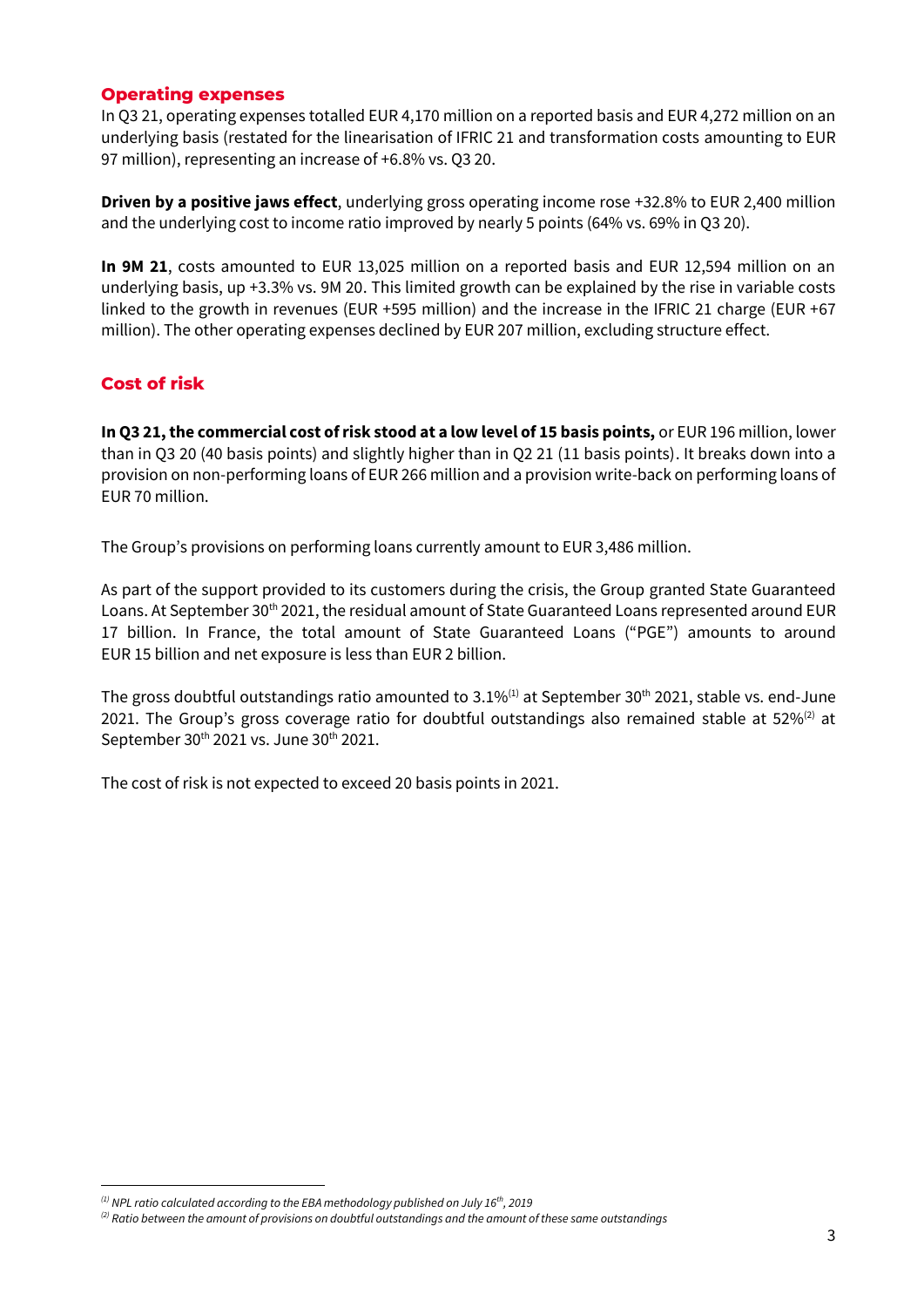#### **Operating expenses**

In Q3 21, operating expenses totalled EUR 4,170 million on a reported basis and EUR 4,272 million on an underlying basis (restated for the linearisation of IFRIC 21 and transformation costs amounting to EUR 97 million), representing an increase of +6.8% vs. Q3 20.

**Driven by a positive jaws effect**, underlying gross operating income rose +32.8% to EUR 2,400 million and the underlying cost to income ratio improved by nearly 5 points (64% vs. 69% in Q3 20).

**In 9M 21**, costs amounted to EUR 13,025 million on a reported basis and EUR 12,594 million on an underlying basis, up +3.3% vs. 9M 20. This limited growth can be explained by the rise in variable costs linked to the growth in revenues (EUR +595 million) and the increase in the IFRIC 21 charge (EUR +67 million). The other operating expenses declined by EUR 207 million, excluding structure effect.

## **Cost of risk**

**In Q3 21, the commercial cost of risk stood at a low level of 15 basis points,** or EUR 196 million, lower than in Q3 20 (40 basis points) and slightly higher than in Q2 21 (11 basis points). It breaks down into a provision on non-performing loans of EUR 266 million and a provision write-back on performing loans of EUR 70 million.

The Group's provisions on performing loans currently amount to EUR 3,486 million.

As part of the support provided to its customers during the crisis, the Group granted State Guaranteed Loans. At September 30<sup>th</sup> 2021, the residual amount of State Guaranteed Loans represented around EUR 17 billion. In France, the total amount of State Guaranteed Loans ("PGE") amounts to around EUR 15 billion and net exposure is less than EUR 2 billion.

The gross doubtful outstandings ratio amounted to  $3.1\%$ <sup>(1)</sup> at September 30<sup>th</sup> 2021, stable vs. end-June 2021. The Group's gross coverage ratio for doubtful outstandings also remained stable at  $52\%^{(2)}$  at September 30<sup>th</sup> 2021 vs. June 30<sup>th</sup> 2021.

The cost of risk is not expected to exceed 20 basis points in 2021.

*<sup>(1)</sup> NPL ratio calculated according to the EBA methodology published on July 16th, 2019*

*<sup>(2)</sup> Ratio between the amount of provisions on doubtful outstandings and the amount of these same outstandings*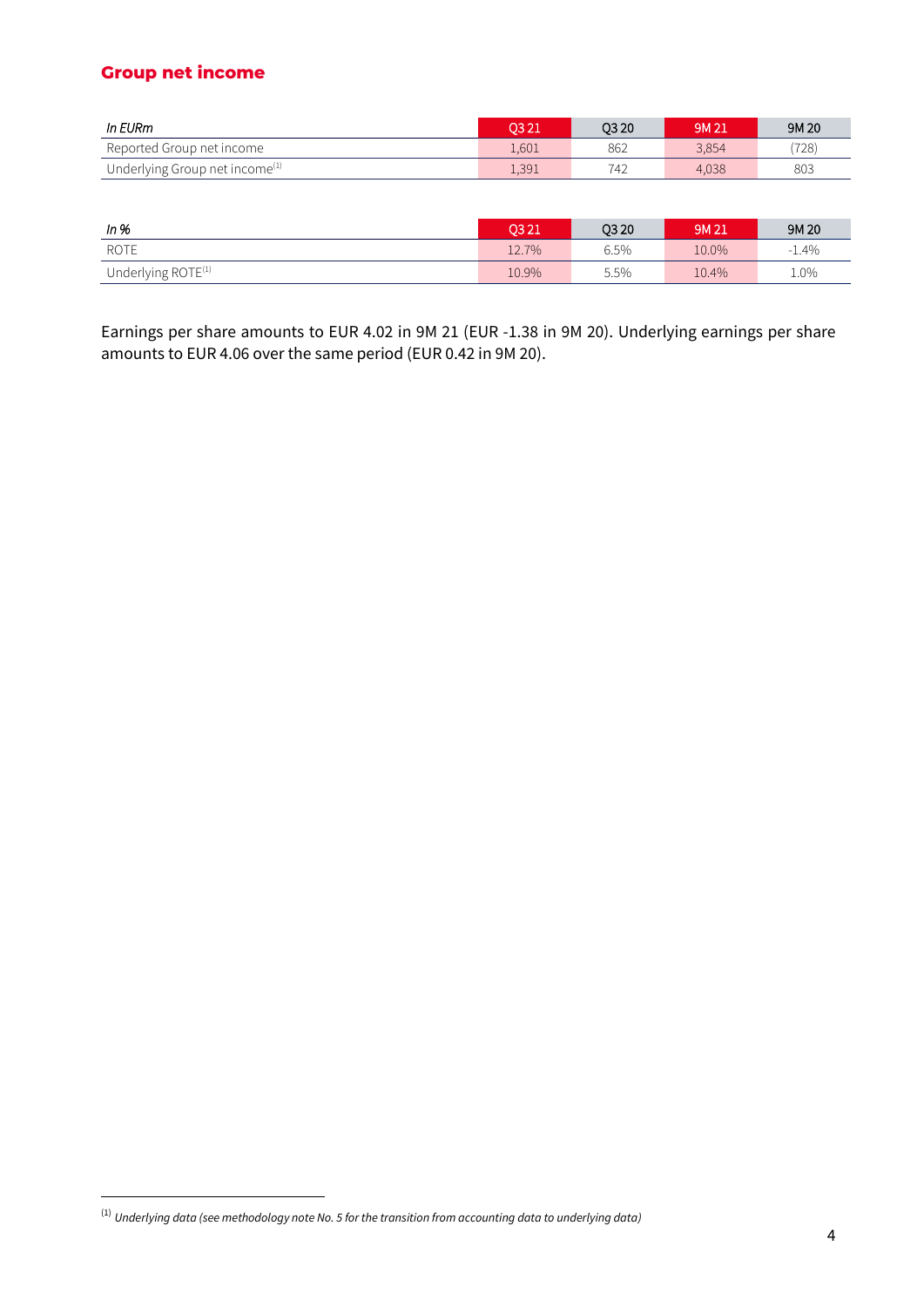# **Group net income**

| In EURm                                    | O3 21 | 03 20 | <b>9M21</b> | 9M 20 |
|--------------------------------------------|-------|-------|-------------|-------|
| Reported Group net income                  | 1.601 | 862   | 3.854       | (728) |
| Underlying Group net income <sup>(1)</sup> | 1,391 | 742   | 4.038       | 803   |

| In%                            | 03 21 | <b>O320</b> | <b>9M21</b> | 9M 20   |
|--------------------------------|-------|-------------|-------------|---------|
| <b>ROTE</b>                    | 12.7% | 6.5%        | 10.0%       | $-1.4%$ |
| Underlying ROTE <sup>(1)</sup> | 10.9% | 5.5%        | 10.4%       | $1.0\%$ |

Earnings per share amounts to EUR 4.02 in 9M 21 (EUR -1.38 in 9M 20). Underlying earnings per share amounts to EUR 4.06 over the same period (EUR 0.42 in 9M 20).

<sup>(1)</sup> *Underlying data (see methodology note No. 5 for the transition from accounting data to underlying data)*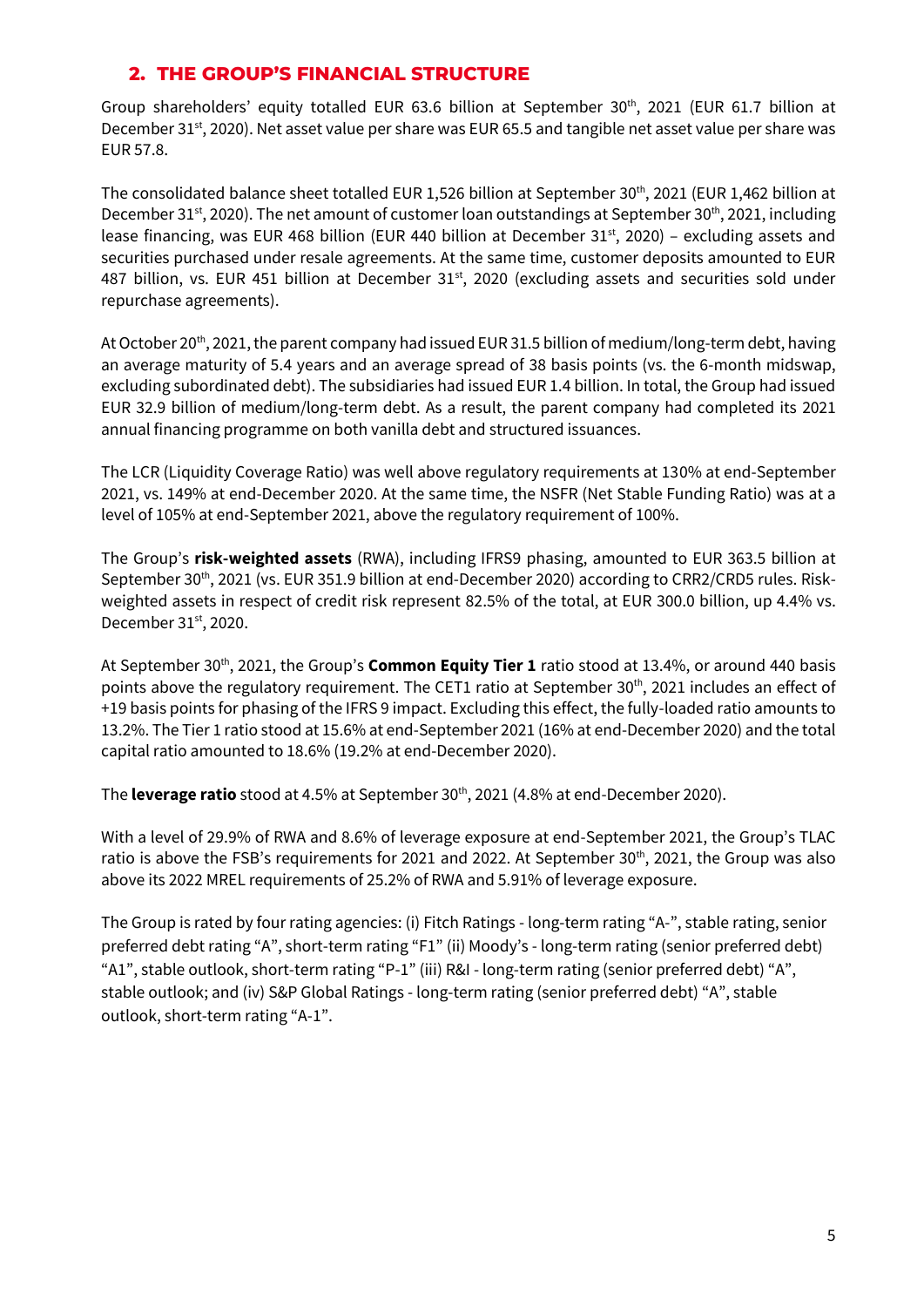## **2. THE GROUP'S FINANCIAL STRUCTURE**

Group shareholders' equity totalled EUR 63.6 billion at September 30<sup>th</sup>, 2021 (EUR 61.7 billion at December 31<sup>st</sup>, 2020). Net asset value per share was EUR 65.5 and tangible net asset value per share was EUR 57.8.

The consolidated balance sheet totalled EUR 1,526 billion at September 30<sup>th</sup>, 2021 (EUR 1,462 billion at December 31<sup>st</sup>, 2020). The net amount of customer loan outstandings at September 30<sup>th</sup>, 2021, including lease financing, was EUR 468 billion (EUR 440 billion at December 31 $^{st}$ , 2020) – excluding assets and securities purchased under resale agreements. At the same time, customer deposits amounted to EUR 487 billion, vs. EUR 451 billion at December 31<sup>st</sup>, 2020 (excluding assets and securities sold under repurchase agreements).

At October 20<sup>th</sup>, 2021, the parent company had issued EUR 31.5 billion of medium/long-term debt, having an average maturity of 5.4 years and an average spread of 38 basis points (vs. the 6-month midswap, excluding subordinated debt). The subsidiaries had issued EUR 1.4 billion. In total, the Group had issued EUR 32.9 billion of medium/long-term debt. As a result, the parent company had completed its 2021 annual financing programme on both vanilla debt and structured issuances.

The LCR (Liquidity Coverage Ratio) was well above regulatory requirements at 130% at end-September 2021, vs. 149% at end-December 2020. At the same time, the NSFR (Net Stable Funding Ratio) was at a level of 105% at end-September 2021, above the regulatory requirement of 100%.

The Group's **risk-weighted assets** (RWA), including IFRS9 phasing, amounted to EUR 363.5 billion at September 30<sup>th</sup>, 2021 (vs. EUR 351.9 billion at end-December 2020) according to CRR2/CRD5 rules. Riskweighted assets in respect of credit risk represent 82.5% of the total, at EUR 300.0 billion, up 4.4% vs. December 31<sup>st</sup>, 2020.

At September 30<sup>th</sup>, 2021, the Group's **Common Equity Tier 1** ratio stood at 13.4%, or around 440 basis points above the regulatory requirement. The CET1 ratio at September 30<sup>th</sup>, 2021 includes an effect of +19 basis points for phasing of the IFRS 9 impact. Excluding this effect, the fully-loaded ratio amounts to 13.2%. The Tier 1 ratio stood at 15.6% at end-September 2021 (16% at end-December 2020) and the total capital ratio amounted to 18.6% (19.2% at end-December 2020).

The **leverage ratio** stood at 4.5% at September 30<sup>th</sup>, 2021 (4.8% at end-December 2020).

With a level of 29.9% of RWA and 8.6% of leverage exposure at end-September 2021, the Group's TLAC ratio is above the FSB's requirements for 2021 and 2022. At September  $30<sup>th</sup>$ , 2021, the Group was also above its 2022 MREL requirements of 25.2% of RWA and 5.91% of leverage exposure.

The Group is rated by four rating agencies: (i) Fitch Ratings - long-term rating "A-", stable rating, senior preferred debt rating "A", short-term rating "F1" (ii) Moody's - long-term rating (senior preferred debt) "A1", stable outlook, short-term rating "P-1" (iii) R&I - long-term rating (senior preferred debt) "A", stable outlook; and (iv) S&P Global Ratings - long-term rating (senior preferred debt) "A", stable outlook, short-term rating "A-1".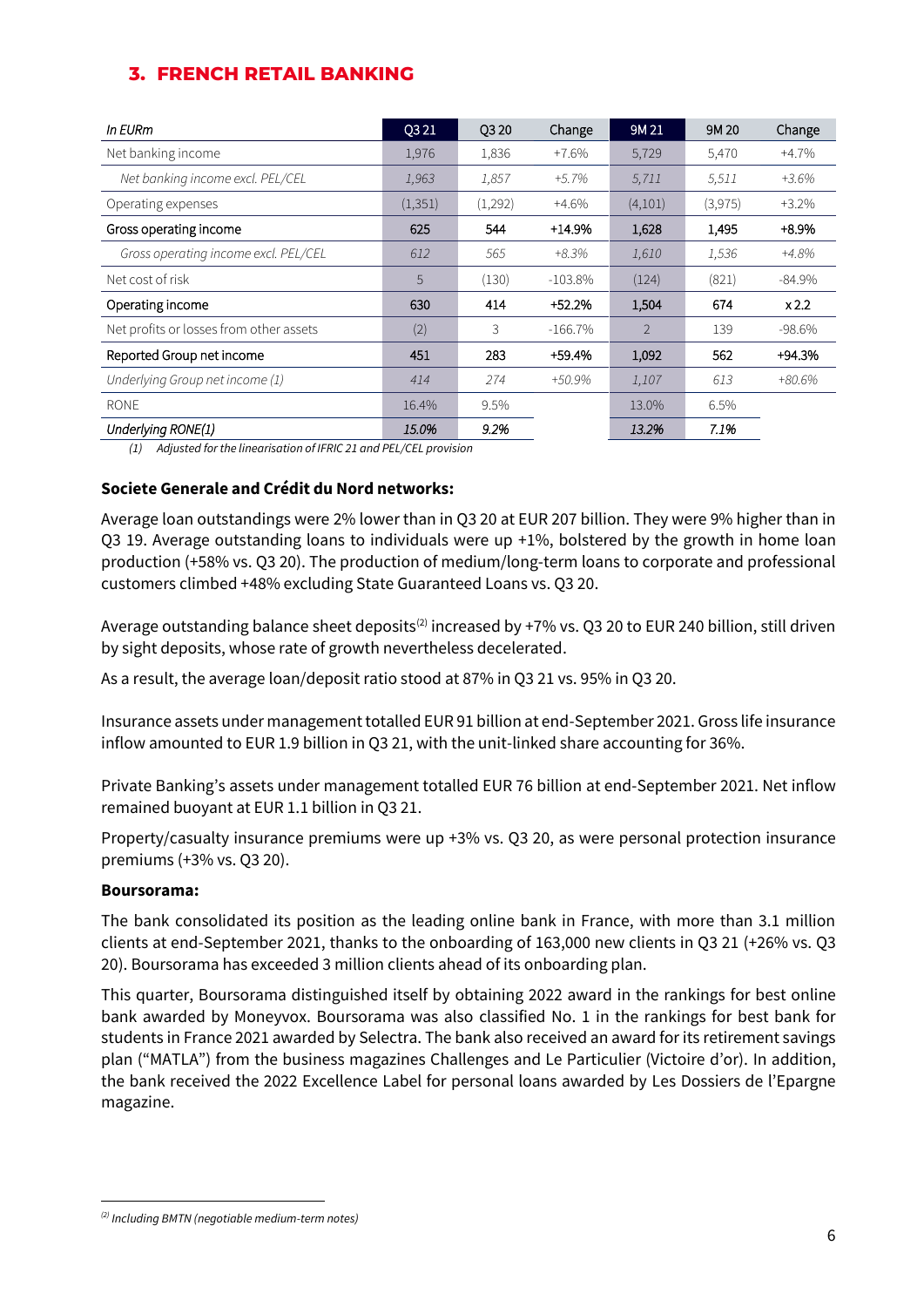# **3. FRENCH RETAIL BANKING**

| In EURm                                 | Q3 21    | O <sub>3</sub> 20 | Change     | 9M 21          | 9M 20   | Change    |
|-----------------------------------------|----------|-------------------|------------|----------------|---------|-----------|
| Net banking income                      | 1,976    | 1,836             | $+7.6\%$   | 5,729          | 5,470   | $+4.7%$   |
| Net banking income excl. PEL/CEL        | 1,963    | 1,857             | $+5.7\%$   | 5,711          | 5,511   | $+3.6%$   |
| Operating expenses                      | (1, 351) | (1,292)           | +4.6%      | (4,101)        | (3,975) | $+3.2%$   |
| Gross operating income                  | 625      | 544               | +14.9%     | 1,628          | 1,495   | +8.9%     |
| Gross operating income excl. PEL/CEL    | 612      | 565               | $+8.3%$    | 1,610          | 1,536   | $+4.8%$   |
| Net cost of risk                        | 5        | (130)             | $-103.8\%$ | (124)          | (821)   | $-84.9\%$ |
| Operating income                        | 630      | 414               | +52.2%     | 1,504          | 674     | x 2.2     |
| Net profits or losses from other assets | (2)      | 3                 | $-166.7%$  | $\overline{2}$ | 139     | $-98.6%$  |
| Reported Group net income               | 451      | 283               | +59.4%     | 1,092          | 562     | +94.3%    |
| Underlying Group net income (1)         | 414      | 274               | +50.9%     | 1,107          | 613     | +80.6%    |
| <b>RONE</b>                             | 16.4%    | 9.5%              |            | 13.0%          | 6.5%    |           |
| Underlying RONE(1)                      | 15.0%    | 9.2%              |            | 13.2%          | 7.1%    |           |

*(1) Adjusted for the linearisation of IFRIC 21 and PEL/CEL provision*

## **Societe Generale and Crédit du Nord networks:**

Average loan outstandings were 2% lower than in Q3 20 at EUR 207 billion. They were 9% higher than in Q3 19. Average outstanding loans to individuals were up  $+1\%$ , bolstered by the growth in home loan production (+58% vs. Q3 20). The production of medium/long-term loans to corporate and professional customers climbed +48% excluding State Guaranteed Loans vs. Q3 20.

Average outstanding balance sheet deposits<sup>(2)</sup> increased by +7% vs. Q3 20 to EUR 240 billion, still driven by sight deposits, whose rate of growth nevertheless decelerated.

As a result, the average loan/deposit ratio stood at 87% in Q3 21 vs. 95% in Q3 20.

Insurance assets under management totalled EUR 91 billion at end-September 2021. Gross life insurance inflow amounted to EUR 1.9 billion in Q3 21, with the unit-linked share accounting for 36%.

Private Banking's assets under management totalled EUR 76 billion at end-September 2021. Net inflow remained buoyant at EUR 1.1 billion in Q3 21.

Property/casualty insurance premiums were up +3% vs. Q3 20, as were personal protection insurance premiums (+3% vs. Q3 20).

#### **Boursorama:**

The bank consolidated its position as the leading online bank in France, with more than 3.1 million clients at end-September 2021, thanks to the onboarding of 163,000 new clients in Q3 21 (+26% vs. Q3 20). Boursorama has exceeded 3 million clients ahead of its onboarding plan.

This quarter, Boursorama distinguished itself by obtaining 2022 award in the rankings for best online bank awarded by Moneyvox. Boursorama was also classified No. 1 in the rankings for best bank for students in France 2021 awarded by Selectra. The bank also received an award for its retirement savings plan ("MATLA") from the business magazines Challenges and Le Particulier (Victoire d'or). In addition, the bank received the 2022 Excellence Label for personal loans awarded by Les Dossiers de l'Epargne magazine.

*<sup>(2)</sup> Including BMTN (negotiable medium-term notes)*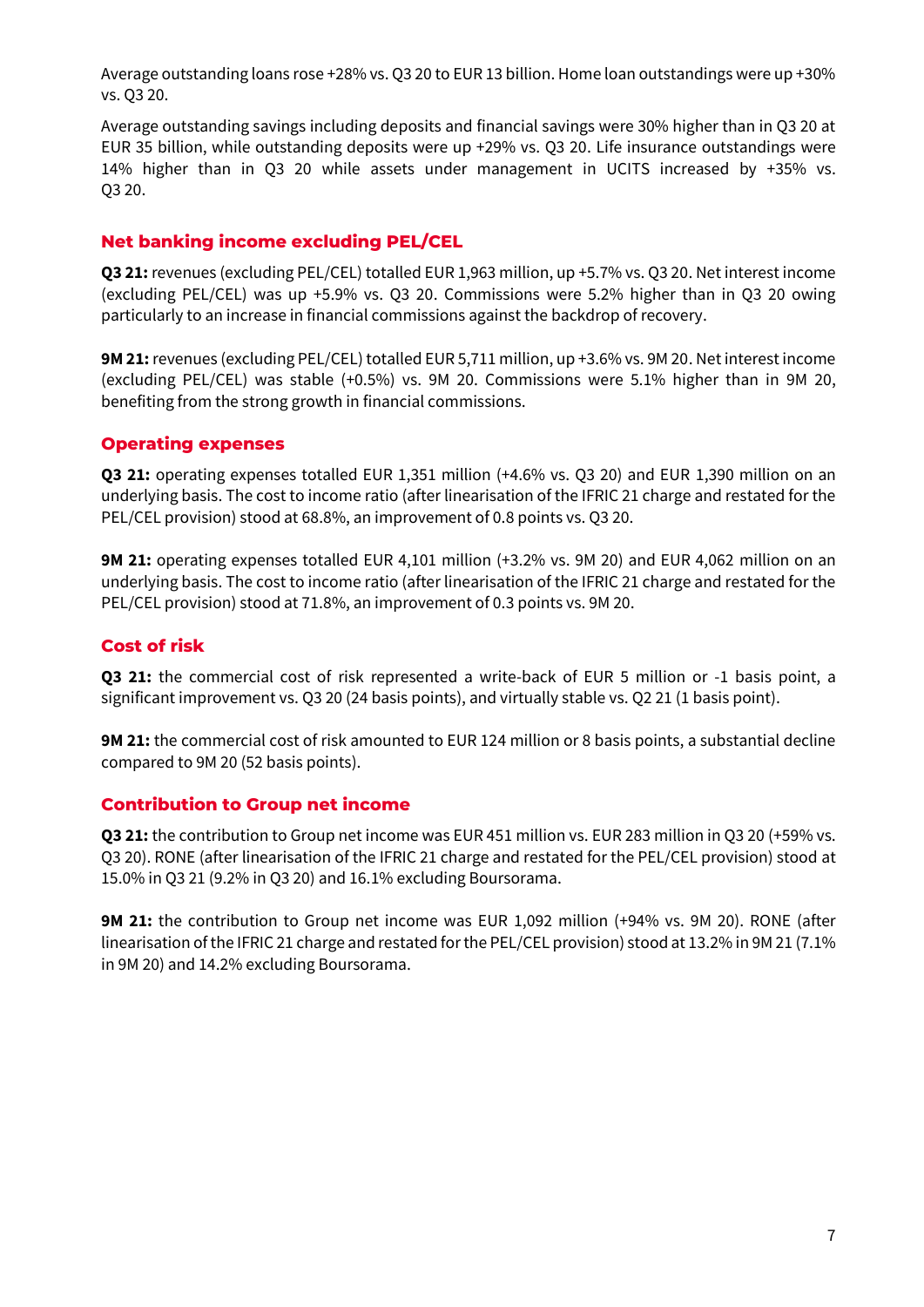Average outstanding loans rose +28% vs. Q3 20 to EUR 13 billion. Home loan outstandings were up +30% vs. Q3 20.

Average outstanding savings including deposits and financial savings were 30% higher than in Q3 20 at EUR 35 billion, while outstanding deposits were up +29% vs. Q3 20. Life insurance outstandings were 14% higher than in Q3 20 while assets under management in UCITS increased by +35% vs. Q3 20.

## **Net banking income excluding PEL/CEL**

**Q3 21:** revenues (excluding PEL/CEL) totalled EUR 1,963 million, up +5.7% vs. Q3 20. Net interest income (excluding PEL/CEL) was up +5.9% vs. Q3 20. Commissions were 5.2% higher than in Q3 20 owing particularly to an increase in financial commissions against the backdrop of recovery.

**9M 21:** revenues (excluding PEL/CEL) totalled EUR 5,711 million, up +3.6% vs. 9M 20. Net interest income (excluding PEL/CEL) was stable (+0.5%) vs. 9M 20. Commissions were 5.1% higher than in 9M 20, benefiting from the strong growth in financial commissions.

#### **Operating expenses**

**Q3 21:** operating expenses totalled EUR 1,351 million (+4.6% vs. Q3 20) and EUR 1,390 million on an underlying basis. The cost to income ratio (after linearisation of the IFRIC 21 charge and restated for the PEL/CEL provision) stood at 68.8%, an improvement of 0.8 points vs. Q3 20.

**9M 21:** operating expenses totalled EUR 4,101 million (+3.2% vs. 9M 20) and EUR 4,062 million on an underlying basis. The cost to income ratio (after linearisation of the IFRIC 21 charge and restated for the PEL/CEL provision) stood at 71.8%, an improvement of 0.3 points vs. 9M 20.

## **Cost of risk**

**Q3 21:** the commercial cost of risk represented a write-back of EUR 5 million or -1 basis point, a significant improvement vs. Q3 20 (24 basis points), and virtually stable vs. Q2 21 (1 basis point).

**9M 21:** the commercial cost of risk amounted to EUR 124 million or 8 basis points, a substantial decline compared to 9M 20 (52 basis points).

#### **Contribution to Group net income**

**Q3 21:** the contribution to Group net income was EUR 451 million vs. EUR 283 million in Q3 20 (+59% vs. Q3 20). RONE (after linearisation of the IFRIC 21 charge and restated for the PEL/CEL provision) stood at 15.0% in Q3 21 (9.2% in Q3 20) and 16.1% excluding Boursorama.

**9M 21:** the contribution to Group net income was EUR 1,092 million (+94% vs. 9M 20). RONE (after linearisation of the IFRIC 21 charge and restated for the PEL/CEL provision) stood at 13.2% in 9M 21 (7.1% in 9M 20) and 14.2% excluding Boursorama.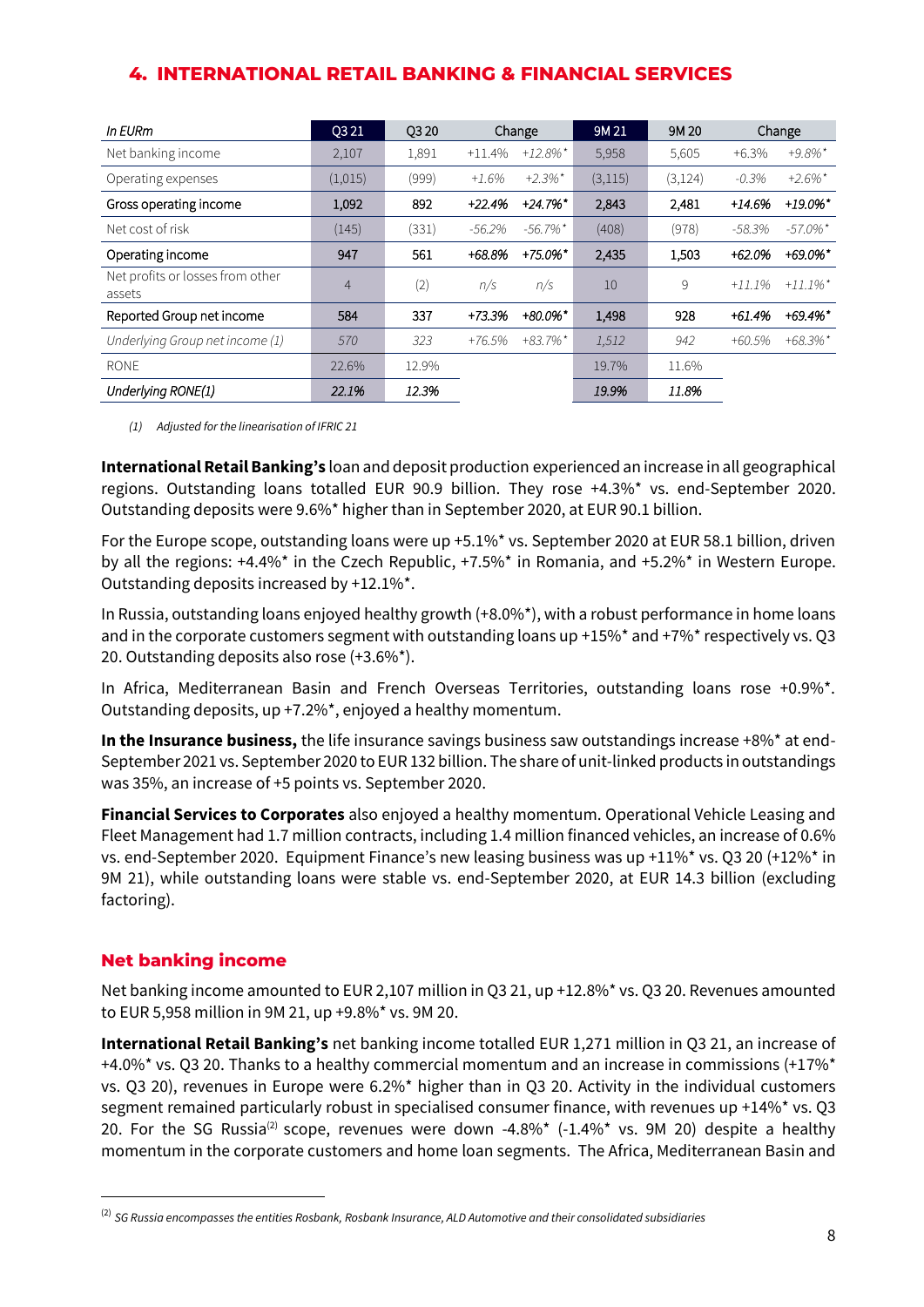## **4. INTERNATIONAL RETAIL BANKING & FINANCIAL SERVICES**

| In EURm                                    | 0321           | O <sub>3</sub> 20 |          | Change                 | 9M 21    | 9M 20    |           | Change                 |
|--------------------------------------------|----------------|-------------------|----------|------------------------|----------|----------|-----------|------------------------|
| Net banking income                         | 2,107          | 1,891             | $+11.4%$ | $+12.8\%$ <sup>*</sup> | 5,958    | 5,605    | $+6.3%$   | $+9.8\%$ *             |
| Operating expenses                         | (1,015)        | (999)             | $+1.6%$  | $+2.3\%$ <sup>*</sup>  | (3, 115) | (3, 124) | $-0.3\%$  | $+2.6\%$ <sup>*</sup>  |
| Gross operating income                     | 1,092          | 892               | $+22.4%$ | $+24.7%$ *             | 2,843    | 2,481    | $+14.6%$  | $+19.0\%$ *            |
| Net cost of risk                           | (145)          | (331)             | $-56.2%$ | $-56.7\%$ <sup>*</sup> | (408)    | (978)    | $-58.3%$  | $-57.0\%$ <sup>*</sup> |
| Operating income                           | 947            | 561               | +68.8%   | $+75.0\%$ *            | 2,435    | 1,503    | $+62.0%$  | $+69.0\%$ <sup>*</sup> |
| Net profits or losses from other<br>assets | $\overline{4}$ | (2)               | n/s      | n/s                    | 10       | 9        | $+11.1\%$ | $+11.1\%$ <sup>*</sup> |
| Reported Group net income                  | 584            | 337               | +73.3%   | $+80.0\%$ <sup>*</sup> | 1,498    | 928      | $+61.4%$  | $+69.4\%$ <sup>*</sup> |
| Underlying Group net income (1)            | 570            | 323               | $+76.5%$ | $+83.7\%$ <sup>*</sup> | 1,512    | 942      | $+60.5%$  | $+68.3\%$              |
| <b>RONE</b>                                | 22.6%          | 12.9%             |          |                        | 19.7%    | 11.6%    |           |                        |
| Underlying RONE(1)                         | 22.1%          | 12.3%             |          |                        | 19.9%    | 11.8%    |           |                        |

*(1) Adjusted for the linearisation of IFRIC 21*

**International Retail Banking's** loan and deposit production experienced an increase in all geographical regions. Outstanding loans totalled EUR 90.9 billion. They rose +4.3%\* vs. end-September 2020. Outstanding deposits were 9.6%\* higher than in September 2020, at EUR 90.1 billion.

For the Europe scope, outstanding loans were up +5.1%\* vs. September 2020 at EUR 58.1 billion, driven by all the regions: +4.4%\* in the Czech Republic, +7.5%\* in Romania, and +5.2%\* in Western Europe. Outstanding deposits increased by +12.1%\*.

In Russia, outstanding loans enjoyed healthy growth (+8.0%\*), with a robust performance in home loans and in the corporate customers segment with outstanding loans up +15%\* and +7%\* respectively vs. Q3 20. Outstanding deposits also rose (+3.6%\*).

In Africa, Mediterranean Basin and French Overseas Territories, outstanding loans rose +0.9%\*. Outstanding deposits, up +7.2%\*, enjoyed a healthy momentum.

**In the Insurance business,** the life insurance savings business saw outstandings increase +8%\* at end-September 2021 vs. September 2020 to EUR 132 billion. The share of unit-linked products in outstandings was 35%, an increase of +5 points vs. September 2020.

**Financial Services to Corporates** also enjoyed a healthy momentum. Operational Vehicle Leasing and Fleet Management had 1.7 million contracts, including 1.4 million financed vehicles, an increase of 0.6% vs. end-September 2020. Equipment Finance's new leasing business was up +11%\* vs. Q3 20 (+12%\* in 9M 21), while outstanding loans were stable vs. end-September 2020, at EUR 14.3 billion (excluding factoring).

## **Net banking income**

Net banking income amounted to EUR 2,107 million in Q3 21, up +12.8%\* vs. Q3 20. Revenues amounted to EUR 5,958 million in 9M 21, up +9.8%\* vs. 9M 20.

**International Retail Banking's** net banking income totalled EUR 1,271 million in Q3 21, an increase of +4.0%\* vs. Q3 20. Thanks to a healthy commercial momentum and an increase in commissions (+17%\* vs. Q3 20), revenues in Europe were 6.2%\* higher than in Q3 20. Activity in the individual customers segment remained particularly robust in specialised consumer finance, with revenues up +14%\* vs. Q3 20. For the SG Russia<sup>(2)</sup> scope, revenues were down -4.8%\* (-1.4%\* vs. 9M 20) despite a healthy momentum in the corporate customers and home loan segments. The Africa, Mediterranean Basin and

<sup>(2)</sup> *SG Russia encompasses the entities Rosbank, Rosbank Insurance, ALD Automotive and their consolidated subsidiaries*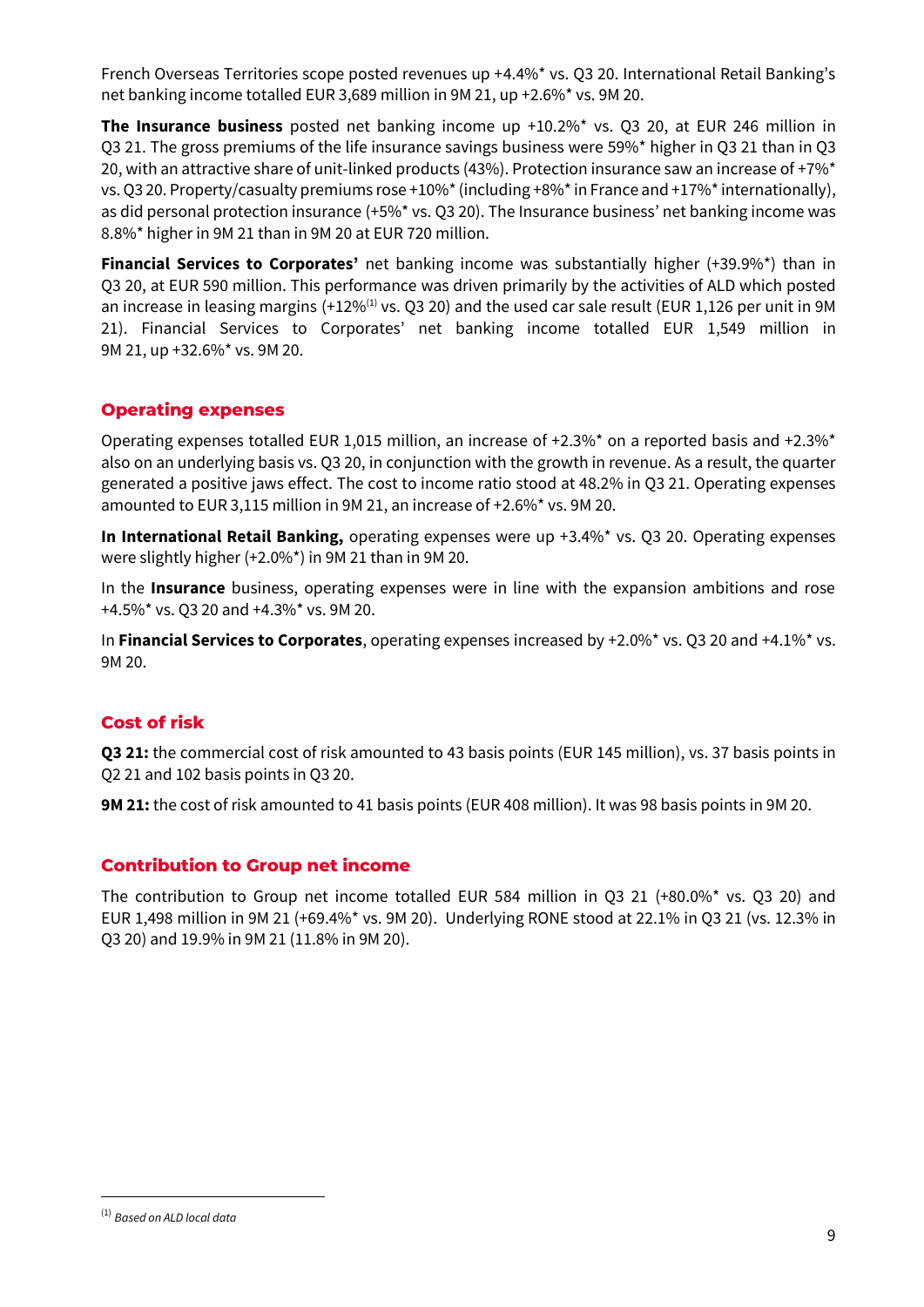French Overseas Territories scope posted revenues up +4.4%\* vs. Q3 20. International Retail Banking's net banking income totalled EUR 3,689 million in 9M 21, up +2.6%\* vs. 9M 20.

**The Insurance business** posted net banking income up +10.2%\* vs. Q3 20, at EUR 246 million in Q3 21. The gross premiums of the life insurance savings business were 59%\* higher in Q3 21 than in Q3 20, with an attractive share of unit-linked products (43%). Protection insurance saw an increase of +7%\* vs.Q3 20. Property/casualty premiums rose +10%\* (including +8%\* in France and +17%\* internationally), as did personal protection insurance (+5%\* vs. Q3 20). The Insurance business' net banking income was 8.8%\* higher in 9M 21 than in 9M 20 at EUR 720 million.

**Financial Services to Corporates'** net banking income was substantially higher (+39.9%\*) than in Q3 20, at EUR 590 million. This performance was driven primarily by the activities of ALD which posted an increase in leasing margins  $(+12\%/11)}$  vs. Q3 20) and the used car sale result (EUR 1,126 per unit in 9M 21). Financial Services to Corporates' net banking income totalled EUR 1,549 million in 9M 21, up +32.6%\* vs. 9M 20.

## **Operating expenses**

Operating expenses totalled EUR 1,015 million, an increase of +2.3%\* on a reported basis and +2.3%\* also on an underlying basis vs. Q3 20, in conjunction with the growth in revenue. As a result, the quarter generated a positive jaws effect. The cost to income ratio stood at 48.2% in Q3 21. Operating expenses amounted to EUR 3,115 million in 9M 21, an increase of +2.6%\* vs. 9M 20.

**In International Retail Banking,** operating expenses were up +3.4%\* vs. Q3 20. Operating expenses were slightly higher (+2.0%\*) in 9M 21 than in 9M 20.

In the **Insurance** business, operating expenses were in line with the expansion ambitions and rose +4.5%\* vs. Q3 20 and +4.3%\* vs. 9M 20.

In **Financial Services to Corporates**, operating expenses increased by +2.0%\* vs. Q3 20 and +4.1%\* vs. 9M 20.

## **Cost of risk**

**Q3 21:** the commercial cost of risk amounted to 43 basis points (EUR 145 million), vs. 37 basis points in Q2 21 and 102 basis points in Q3 20.

**9M 21:** the cost of risk amounted to 41 basis points (EUR 408 million). It was 98 basis points in 9M 20.

## **Contribution to Group net income**

The contribution to Group net income totalled EUR 584 million in Q3 21 (+80.0%\* vs. Q3 20) and EUR 1,498 million in 9M 21 (+69.4%\* vs. 9M 20). Underlying RONE stood at 22.1% in Q3 21 (vs. 12.3% in Q3 20) and 19.9% in 9M 21 (11.8% in 9M 20).

<sup>(1)</sup> *Based on ALD local data*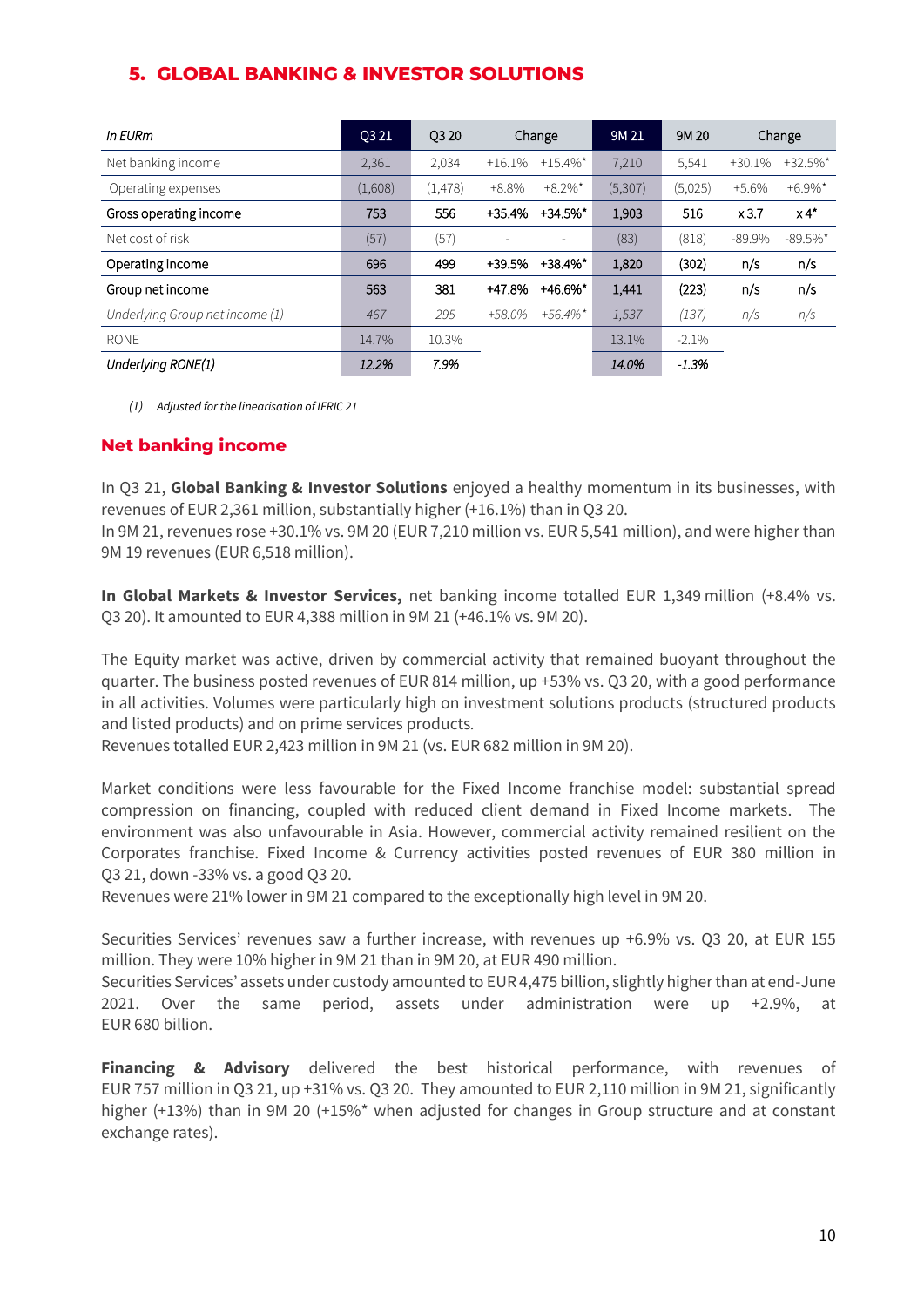## **5. GLOBAL BANKING & INVESTOR SOLUTIONS**

| In EURm                         | 0321    | O <sub>3</sub> 20 | Change                            | 9M 21   | 9M 20    | Change                           |
|---------------------------------|---------|-------------------|-----------------------------------|---------|----------|----------------------------------|
| Net banking income              | 2,361   | 2,034             | $+15.4\%$ *<br>$+16.1%$           | 7,210   | 5,541    | $+32.5\%$ *<br>$+30.1%$          |
| Operating expenses              | (1,608) | (1,478)           | $+8.8\%$<br>$+8.2\%$ <sup>*</sup> | (5,307) | (5,025)  | $+6.9\%$ <sup>*</sup><br>$+5.6%$ |
| Gross operating income          | 753     | 556               | $+34.5%$ *<br>$+35.4%$            | 1,903   | 516      | x4<br>x3.7                       |
| Net cost of risk                | (57)    | (57)              |                                   | (83)    | (818)    | $-89.5\%$ *<br>$-89.9%$          |
| Operating income                | 696     | 499               | $+38.4\%$ *<br>$+39.5%$           | 1,820   | (302)    | n/s<br>n/s                       |
| Group net income                | 563     | 381               | $+47.8%$<br>+46.6%*               | 1,441   | (223)    | n/s<br>n/s                       |
| Underlying Group net income (1) | 467     | 295               | +58.0%<br>$+56.4\%$               | 1,537   | (137)    | n/s<br>n/s                       |
| <b>RONE</b>                     | 14.7%   | 10.3%             |                                   | 13.1%   | $-2.1\%$ |                                  |
| Underlying RONE(1)              | 12.2%   | 7.9%              |                                   | 14.0%   | $-1.3%$  |                                  |

*(1) Adjusted for the linearisation of IFRIC 21*

## **Net banking income**

In Q3 21, **Global Banking & Investor Solutions** enjoyed a healthy momentum in its businesses, with revenues of EUR 2,361 million, substantially higher (+16.1%) than in Q3 20.

In 9M 21, revenues rose +30.1% vs. 9M 20 (EUR 7,210 million vs. EUR 5,541 million), and were higher than 9M 19 revenues (EUR 6,518 million).

**In Global Markets & Investor Services,** net banking income totalled EUR 1,349 million (+8.4% vs. Q3 20). It amounted to EUR 4,388 million in 9M 21 (+46.1% vs. 9M 20).

The Equity market was active, driven by commercial activity that remained buoyant throughout the quarter. The business posted revenues of EUR 814 million, up +53% vs. Q3 20, with a good performance in all activities. Volumes were particularly high on investment solutions products (structured products and listed products) and on prime services products*.*

Revenues totalled EUR 2,423 million in 9M 21 (vs. EUR 682 million in 9M 20).

Market conditions were less favourable for the Fixed Income franchise model: substantial spread compression on financing, coupled with reduced client demand in Fixed Income markets. The environment was also unfavourable in Asia. However, commercial activity remained resilient on the Corporates franchise. Fixed Income & Currency activities posted revenues of EUR 380 million in Q3 21, down -33% vs. a good Q3 20.

Revenues were 21% lower in 9M 21 compared to the exceptionally high level in 9M 20.

Securities Services' revenues saw a further increase, with revenues up +6.9% vs. Q3 20, at EUR 155 million. They were 10% higher in 9M 21 than in 9M 20, at EUR 490 million.

Securities Services' assets under custody amounted to EUR 4,475 billion, slightly higher than at end-June 2021. Over the same period, assets under administration were up +2.9%, at EUR 680 billion.

**Financing & Advisory** delivered the best historical performance, with revenues of EUR 757 million in Q3 21, up +31% vs. Q3 20. They amounted to EUR 2,110 million in 9M 21, significantly higher (+13%) than in 9M 20 (+15%<sup>\*</sup> when adjusted for changes in Group structure and at constant exchange rates).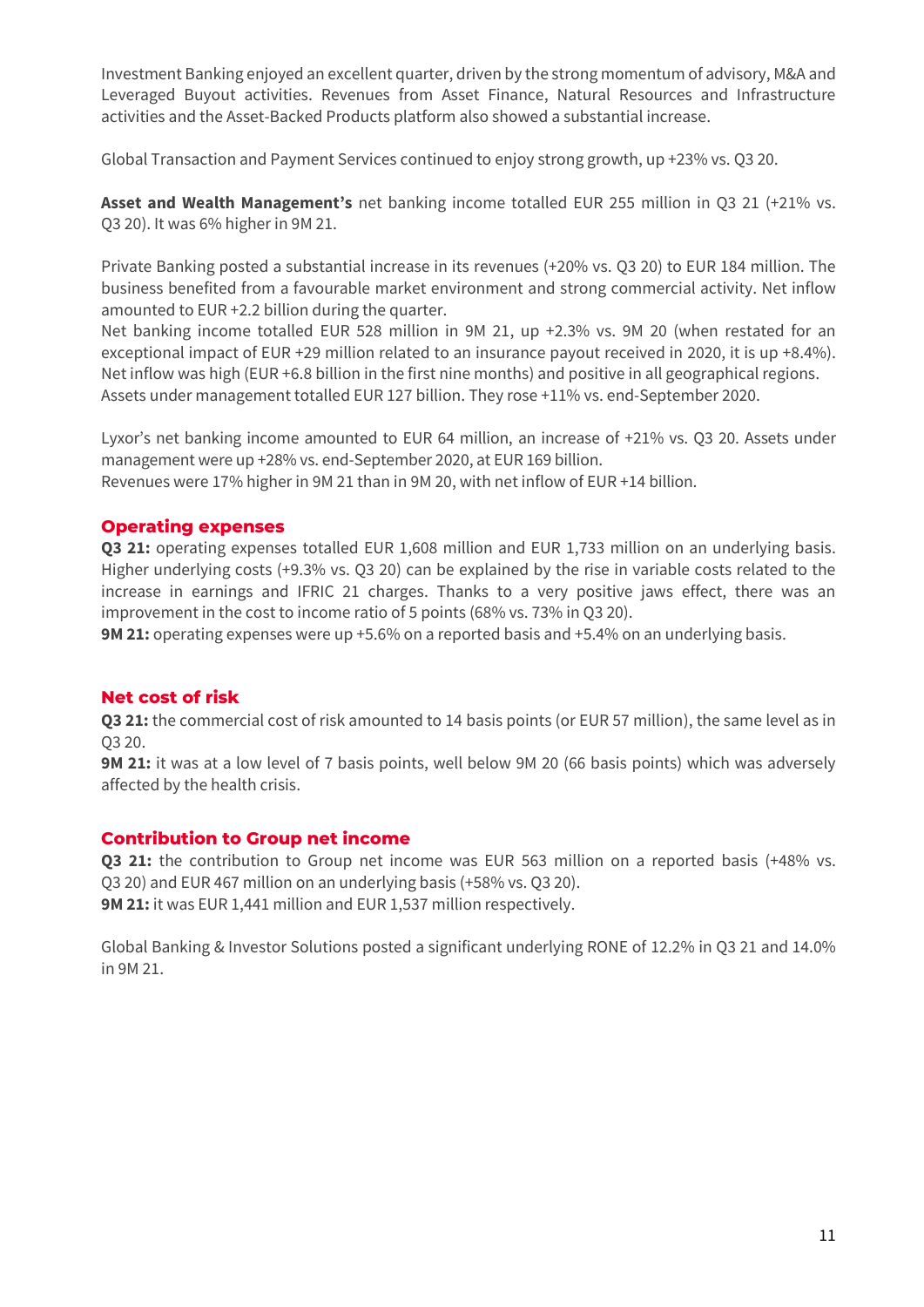Investment Banking enjoyed an excellent quarter, driven by the strong momentum of advisory, M&A and Leveraged Buyout activities. Revenues from Asset Finance, Natural Resources and Infrastructure activities and the Asset-Backed Products platform also showed a substantial increase.

Global Transaction and Payment Services continued to enjoy strong growth, up +23% vs. Q3 20.

**Asset and Wealth Management's** net banking income totalled EUR 255 million in Q3 21 (+21% vs. Q3 20). It was 6% higher in 9M 21.

Private Banking posted a substantial increase in its revenues (+20% vs. Q3 20) to EUR 184 million. The business benefited from a favourable market environment and strong commercial activity. Net inflow amounted to EUR +2.2 billion during the quarter.

Net banking income totalled EUR 528 million in 9M 21, up +2.3% vs. 9M 20 (when restated for an exceptional impact of EUR +29 million related to an insurance payout received in 2020, it is up +8.4%). Net inflow was high (EUR +6.8 billion in the first nine months) and positive in all geographical regions. Assets under management totalled EUR 127 billion. They rose +11% vs. end-September 2020.

Lyxor's net banking income amounted to EUR 64 million, an increase of +21% vs. Q3 20. Assets under management were up +28% vs. end-September 2020, at EUR 169 billion.

Revenues were 17% higher in 9M 21 than in 9M 20, with net inflow of EUR +14 billion.

## **Operating expenses**

**Q3 21:** operating expenses totalled EUR 1,608 million and EUR 1,733 million on an underlying basis. Higher underlying costs (+9.3% vs. Q3 20) can be explained by the rise in variable costs related to the increase in earnings and IFRIC 21 charges. Thanks to a very positive jaws effect, there was an improvement in the cost to income ratio of 5 points (68% vs. 73% in Q3 20).

**9M 21:** operating expenses were up +5.6% on a reported basis and +5.4% on an underlying basis.

## **Net cost of risk**

**Q3 21:** the commercial cost of risk amounted to 14 basis points (or EUR 57 million), the same level as in Q3 20.

**9M 21:** it was at a low level of 7 basis points, well below 9M 20 (66 basis points) which was adversely affected by the health crisis.

## **Contribution to Group net income**

**Q3 21:** the contribution to Group net income was EUR 563 million on a reported basis (+48% vs. Q3 20) and EUR 467 million on an underlying basis (+58% vs. Q3 20). **9M 21:** it was EUR 1,441 million and EUR 1,537 million respectively.

Global Banking & Investor Solutions posted a significant underlying RONE of 12.2% in Q3 21 and 14.0% in 9M 21.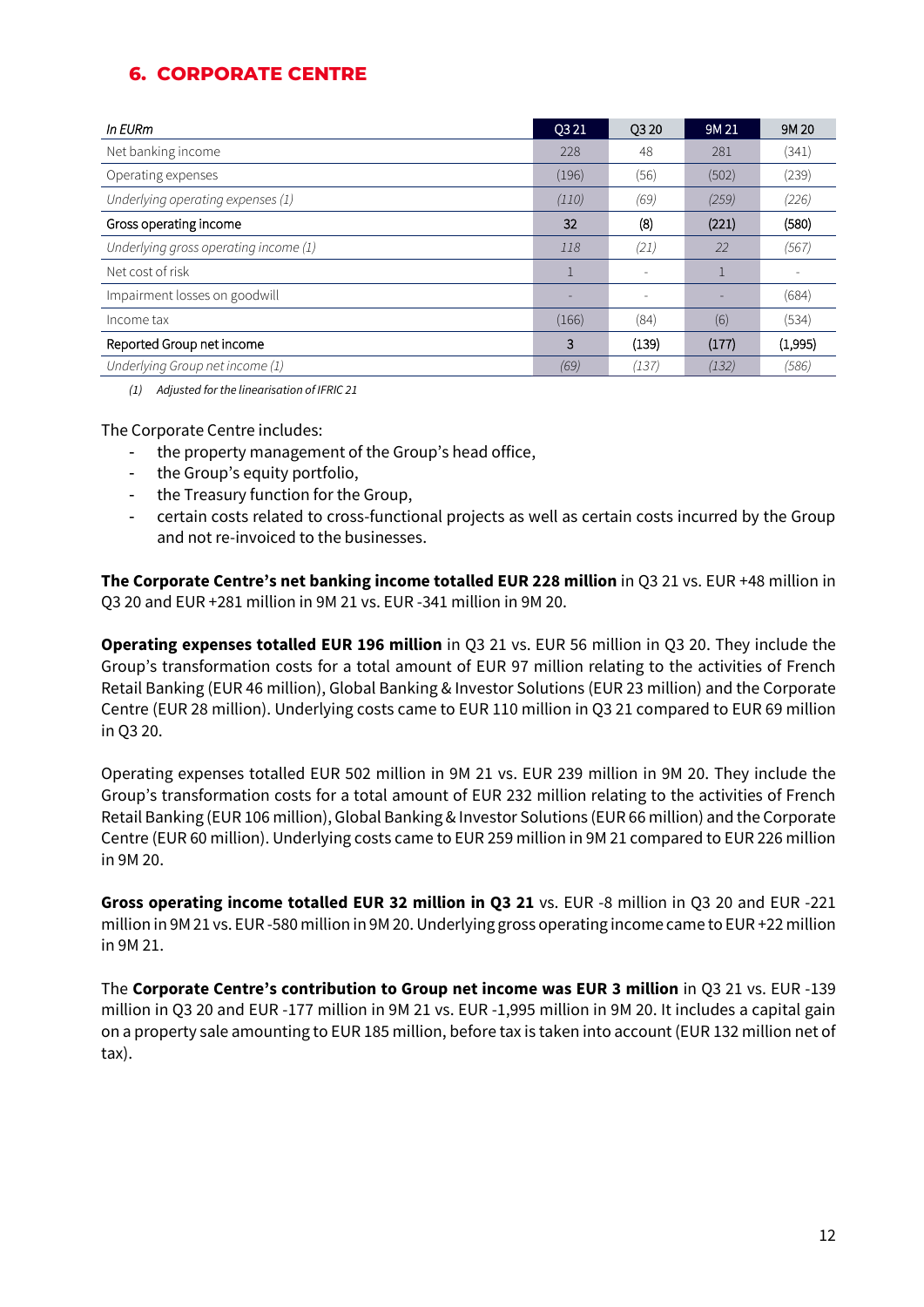# **6. CORPORATE CENTRE**

| In EURm                               | 03 21 | O <sub>3</sub> 20 | 9M 21 | 9M 20   |
|---------------------------------------|-------|-------------------|-------|---------|
| Net banking income                    | 228   | 48                | 281   | (341)   |
| Operating expenses                    | (196) | (56)              | (502) | (239)   |
| Underlying operating expenses (1)     | (110) | (69)              | (259) | (226)   |
| Gross operating income                | 32    | (8)               | (221) | (580)   |
| Underlying gross operating income (1) | 118   | (21)              | 22    | (567)   |
| Net cost of risk                      |       | ۰                 |       |         |
| Impairment losses on goodwill         |       |                   |       | (684)   |
| Income tax                            | (166) | (84)              | (6)   | (534)   |
| Reported Group net income             | 3     | (139)             | (177) | (1,995) |
| Underlying Group net income (1)       | (69)  | (137)             | (132) | (586)   |

*(1) Adjusted for the linearisation of IFRIC 21* 

The Corporate Centre includes:

- the property management of the Group's head office,
- the Group's equity portfolio,
- the Treasury function for the Group,
- certain costs related to cross-functional projects as well as certain costs incurred by the Group and not re-invoiced to the businesses.

**The Corporate Centre's net banking income totalled EUR 228 million** in Q3 21 vs. EUR +48 million in Q3 20 and EUR +281 million in 9M 21 vs. EUR -341 million in 9M 20.

**Operating expenses totalled EUR 196 million** in Q3 21 vs. EUR 56 million in Q3 20. They include the Group's transformation costs for a total amount of EUR 97 million relating to the activities of French Retail Banking (EUR 46 million), Global Banking & Investor Solutions (EUR 23 million) and the Corporate Centre (EUR 28 million). Underlying costs came to EUR 110 million in Q3 21 compared to EUR 69 million in Q3 20.

Operating expenses totalled EUR 502 million in 9M 21 vs. EUR 239 million in 9M 20. They include the Group's transformation costs for a total amount of EUR 232 million relating to the activities of French Retail Banking (EUR 106 million), Global Banking & Investor Solutions (EUR 66 million) and the Corporate Centre (EUR 60 million). Underlying costs came to EUR 259 million in 9M 21 compared to EUR 226 million in 9M 20.

**Gross operating income totalled EUR 32 million in Q3 21** vs. EUR -8 million in Q3 20 and EUR -221 million in 9M21 vs. EUR -580 million in 9M 20. Underlying gross operating income came to EUR +22 million in 9M 21.

The **Corporate Centre's contribution to Group net income was EUR 3 million** in Q3 21 vs. EUR -139 million in Q3 20 and EUR -177 million in 9M 21 vs. EUR -1,995 million in 9M 20. It includes a capital gain on a property sale amounting to EUR 185 million, before tax is taken into account (EUR 132 million net of tax).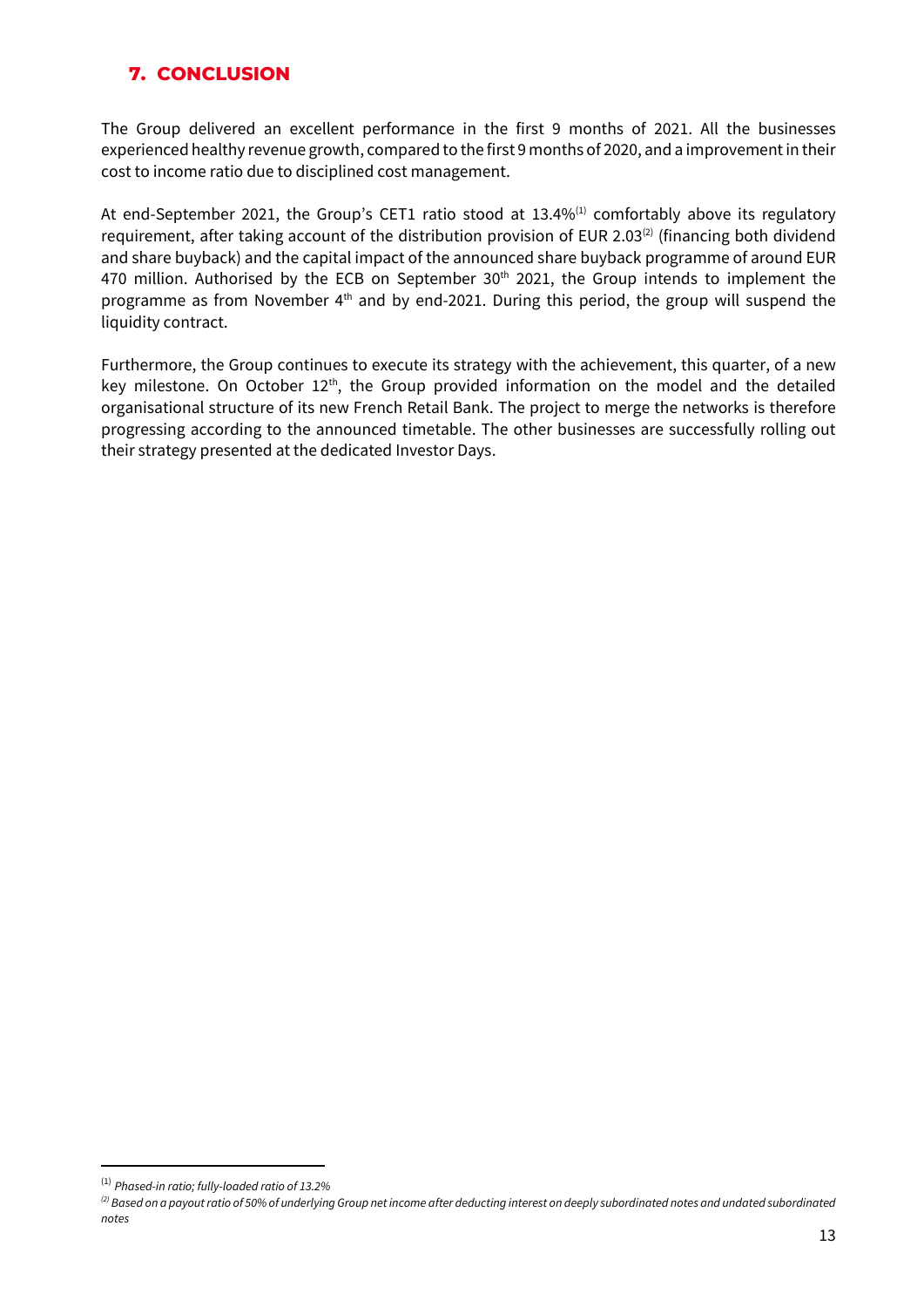# **7. CONCLUSION**

The Group delivered an excellent performance in the first 9 months of 2021. All the businesses experienced healthy revenue growth, compared to the first 9 months of 2020, and a improvement in their cost to income ratio due to disciplined cost management.

At end-September 2021, the Group's CET1 ratio stood at 13.4%<sup>(1)</sup> comfortably above its regulatory requirement, after taking account of the distribution provision of EUR 2.03<sup>(2)</sup> (financing both dividend and share buyback) and the capital impact of the announced share buyback programme of around EUR 470 million. Authorised by the ECB on September 30<sup>th</sup> 2021, the Group intends to implement the programme as from November  $4<sup>th</sup>$  and by end-2021. During this period, the group will suspend the liquidity contract.

Furthermore, the Group continues to execute its strategy with the achievement, this quarter, of a new key milestone. On October  $12<sup>th</sup>$ , the Group provided information on the model and the detailed organisational structure of its new French Retail Bank. The project to merge the networks is therefore progressing according to the announced timetable. The other businesses are successfully rolling out their strategy presented at the dedicated Investor Days.

<sup>(1)</sup> *Phased-in ratio; fully-loaded ratio of 13.2%*

*<sup>(2)</sup> Based on a payout ratio of 50% of underlying Group net income after deducting interest on deeply subordinated notes and undated subordinated notes*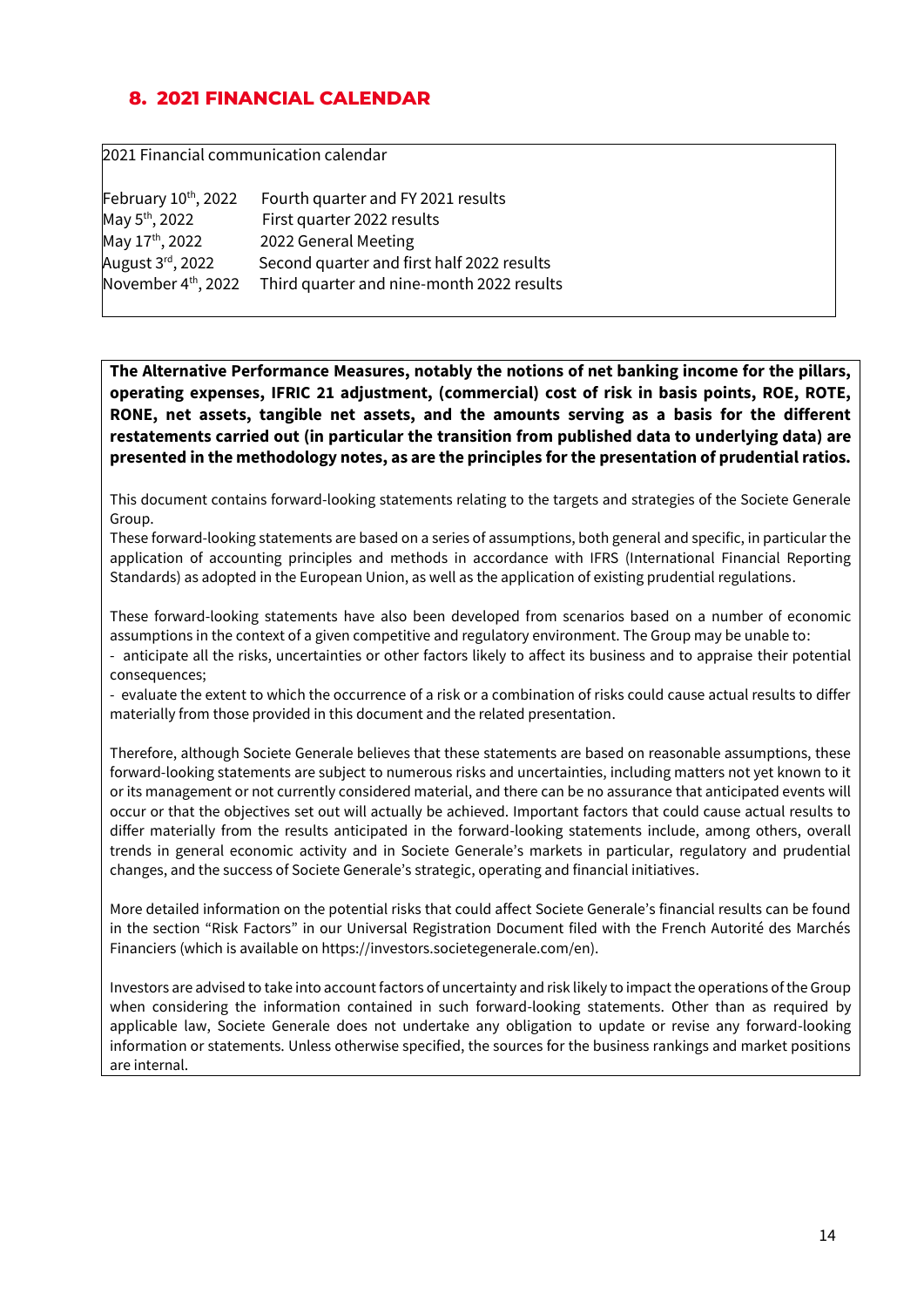# **8. 2021 FINANCIAL CALENDAR**

#### 2021 Financial communication calendar

| Fourth quarter and FY 2021 results         |
|--------------------------------------------|
| First quarter 2022 results                 |
| 2022 General Meeting                       |
| Second quarter and first half 2022 results |
| Third quarter and nine-month 2022 results  |
|                                            |

**The Alternative Performance Measures, notably the notions of net banking income for the pillars, operating expenses, IFRIC 21 adjustment, (commercial) cost of risk in basis points, ROE, ROTE, RONE, net assets, tangible net assets, and the amounts serving as a basis for the different restatements carried out (in particular the transition from published data to underlying data) are presented in the methodology notes, as are the principles for the presentation of prudential ratios.**

This document contains forward-looking statements relating to the targets and strategies of the Societe Generale Group.

These forward-looking statements are based on a series of assumptions, both general and specific, in particular the application of accounting principles and methods in accordance with IFRS (International Financial Reporting Standards) as adopted in the European Union, as well as the application of existing prudential regulations.

These forward-looking statements have also been developed from scenarios based on a number of economic assumptions in the context of a given competitive and regulatory environment. The Group may be unable to: - anticipate all the risks, uncertainties or other factors likely to affect its business and to appraise their potential consequences;

- evaluate the extent to which the occurrence of a risk or a combination of risks could cause actual results to differ materially from those provided in this document and the related presentation.

Therefore, although Societe Generale believes that these statements are based on reasonable assumptions, these forward-looking statements are subject to numerous risks and uncertainties, including matters not yet known to it or its management or not currently considered material, and there can be no assurance that anticipated events will occur or that the objectives set out will actually be achieved. Important factors that could cause actual results to differ materially from the results anticipated in the forward-looking statements include, among others, overall trends in general economic activity and in Societe Generale's markets in particular, regulatory and prudential changes, and the success of Societe Generale's strategic, operating and financial initiatives.

More detailed information on the potential risks that could affect Societe Generale's financial results can be found in the section "Risk Factors" in our Universal Registration Document filed with the French Autorité des Marchés Financiers (which is available on https://investors.societegenerale.com/en).

Investors are advised to take into account factors of uncertainty and risk likely to impact the operations of the Group when considering the information contained in such forward-looking statements. Other than as required by applicable law, Societe Generale does not undertake any obligation to update or revise any forward-looking information or statements. Unless otherwise specified, the sources for the business rankings and market positions are internal.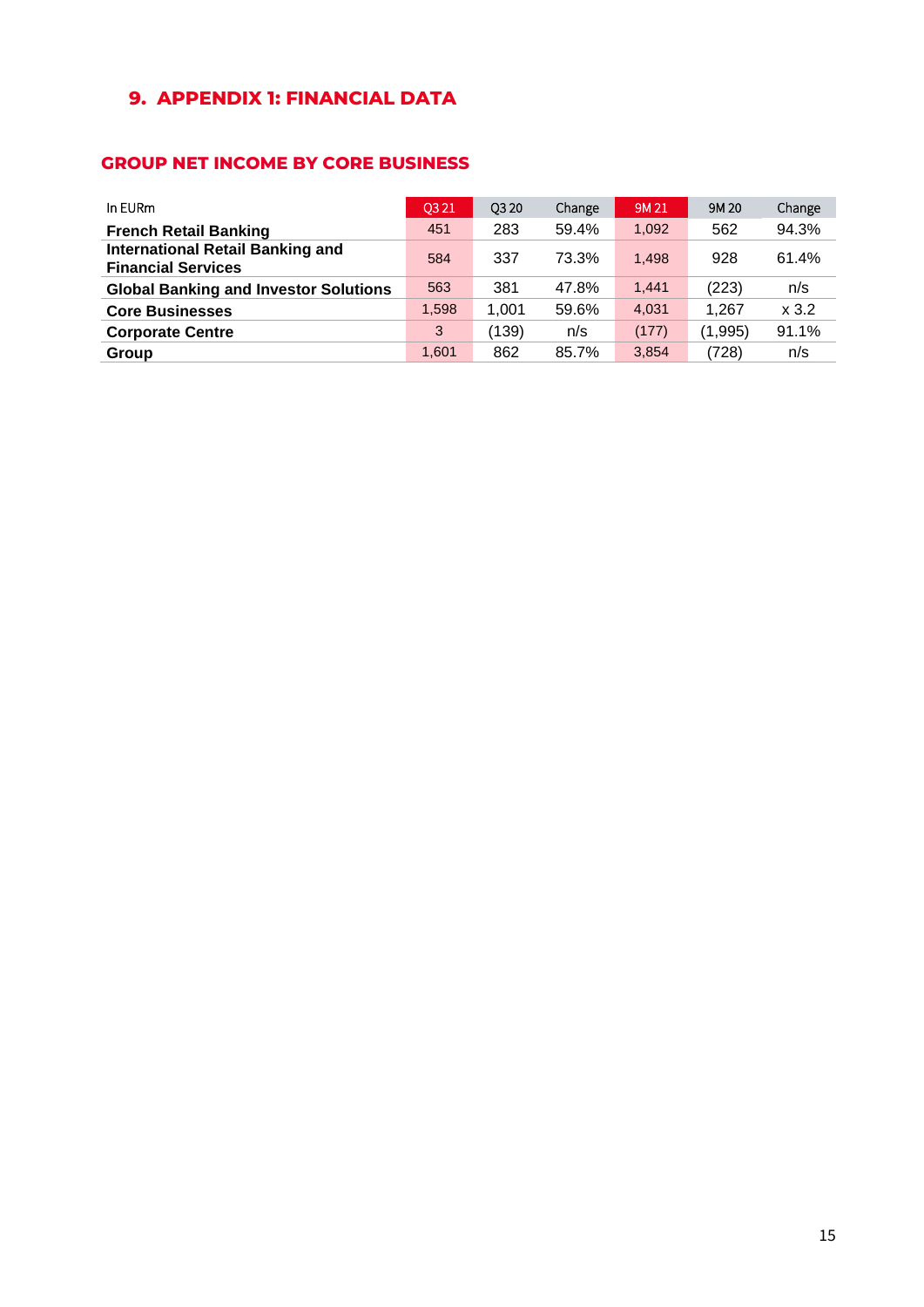# **9. APPENDIX 1: FINANCIAL DATA**

## **GROUP NET INCOME BY CORE BUSINESS**

| In EURm                                                              | Q3 21 | O <sub>3</sub> 20 | Change | 9M 21 | 9M 20   | Change |
|----------------------------------------------------------------------|-------|-------------------|--------|-------|---------|--------|
| <b>French Retail Banking</b>                                         | 451   | 283               | 59.4%  | 1,092 | 562     | 94.3%  |
| <b>International Retail Banking and</b><br><b>Financial Services</b> | 584   | 337               | 73.3%  | 1.498 | 928     | 61.4%  |
| <b>Global Banking and Investor Solutions</b>                         | 563   | 381               | 47.8%  | 1,441 | (223)   | n/s    |
| <b>Core Businesses</b>                                               | 1,598 | 1.001             | 59.6%  | 4,031 | 1.267   | x3.2   |
| <b>Corporate Centre</b>                                              | 3     | (139)             | n/s    | (177) | (1,995) | 91.1%  |
| Group                                                                | 1,601 | 862               | 85.7%  | 3,854 | (728)   | n/s    |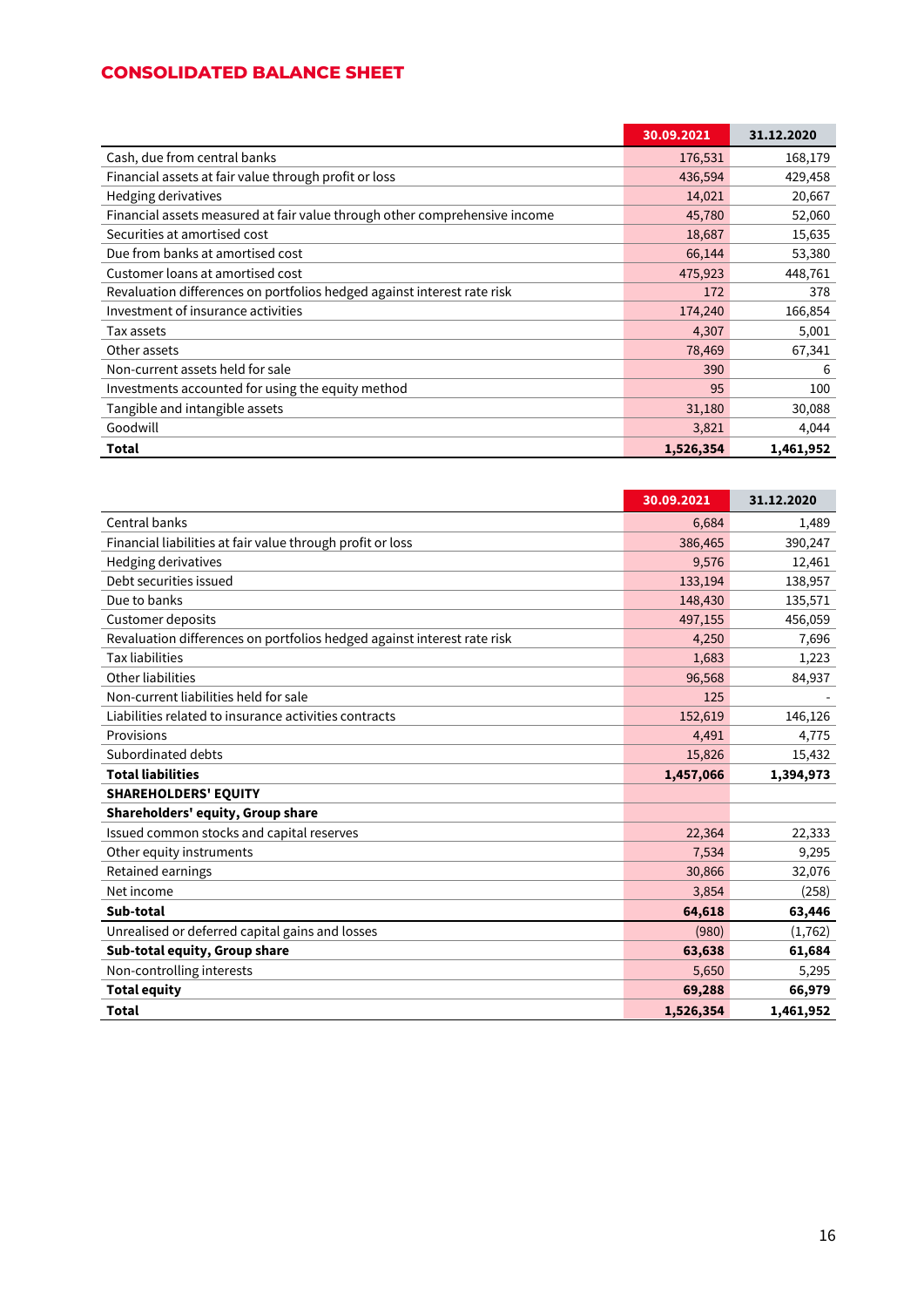## **CONSOLIDATED BALANCE SHEET**

|                                                                            | 30.09.2021 | 31.12.2020 |
|----------------------------------------------------------------------------|------------|------------|
| Cash, due from central banks                                               | 176,531    | 168,179    |
| Financial assets at fair value through profit or loss                      | 436,594    | 429,458    |
| Hedging derivatives                                                        | 14,021     | 20,667     |
| Financial assets measured at fair value through other comprehensive income | 45,780     | 52,060     |
| Securities at amortised cost                                               | 18,687     | 15,635     |
| Due from banks at amortised cost                                           | 66,144     | 53,380     |
| Customer loans at amortised cost                                           | 475,923    | 448,761    |
| Revaluation differences on portfolios hedged against interest rate risk    | 172        | 378        |
| Investment of insurance activities                                         | 174,240    | 166,854    |
| Tax assets                                                                 | 4,307      | 5,001      |
| Other assets                                                               | 78,469     | 67,341     |
| Non-current assets held for sale                                           | 390        | 6          |
| Investments accounted for using the equity method                          | 95         | 100        |
| Tangible and intangible assets                                             | 31,180     | 30,088     |
| Goodwill                                                                   | 3,821      | 4,044      |
| Total                                                                      | 1,526,354  | 1,461,952  |

|                                                                         | 30.09.2021 | 31.12.2020 |
|-------------------------------------------------------------------------|------------|------------|
| Central banks                                                           | 6,684      | 1,489      |
| Financial liabilities at fair value through profit or loss              | 386,465    | 390,247    |
| Hedging derivatives                                                     | 9,576      | 12,461     |
| Debt securities issued                                                  | 133,194    | 138,957    |
| Due to banks                                                            | 148,430    | 135,571    |
| Customer deposits                                                       | 497,155    | 456,059    |
| Revaluation differences on portfolios hedged against interest rate risk | 4,250      | 7,696      |
| <b>Tax liabilities</b>                                                  | 1,683      | 1,223      |
| Other liabilities                                                       | 96,568     | 84,937     |
| Non-current liabilities held for sale                                   | 125        |            |
| Liabilities related to insurance activities contracts                   | 152,619    | 146,126    |
| Provisions                                                              | 4,491      | 4,775      |
| Subordinated debts                                                      | 15,826     | 15,432     |
| <b>Total liabilities</b>                                                | 1,457,066  | 1,394,973  |
| <b>SHAREHOLDERS' EQUITY</b>                                             |            |            |
| Shareholders' equity, Group share                                       |            |            |
| Issued common stocks and capital reserves                               | 22,364     | 22,333     |
| Other equity instruments                                                | 7,534      | 9,295      |
| Retained earnings                                                       | 30,866     | 32,076     |
| Net income                                                              | 3,854      | (258)      |
| Sub-total                                                               | 64,618     | 63,446     |
| Unrealised or deferred capital gains and losses                         | (980)      | (1, 762)   |
| Sub-total equity, Group share                                           | 63,638     | 61,684     |
| Non-controlling interests                                               | 5,650      | 5,295      |
| <b>Total equity</b>                                                     | 69,288     | 66,979     |
| <b>Total</b>                                                            | 1,526,354  | 1,461,952  |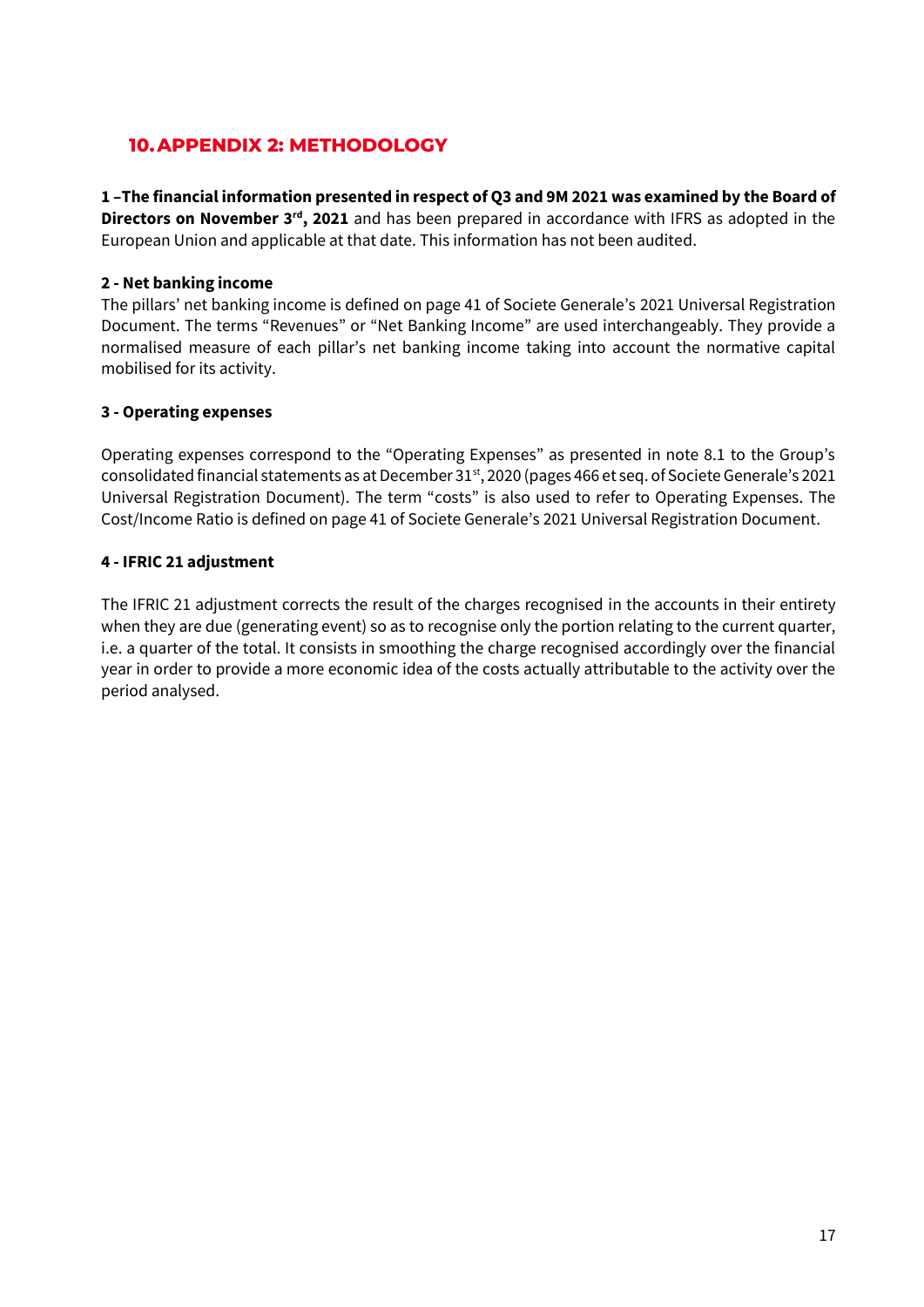# **10.APPENDIX 2: METHODOLOGY**

**1 –The financial information presented in respect of Q3 and 9M 2021 was examined by the Board of Directors on November 3<sup>rd</sup>, 2021** and has been prepared in accordance with IFRS as adopted in the European Union and applicable at that date. This information has not been audited.

## **2 - Net banking income**

The pillars' net banking income is defined on page 41 of Societe Generale's 2021 Universal Registration Document. The terms "Revenues" or "Net Banking Income" are used interchangeably. They provide a normalised measure of each pillar's net banking income taking into account the normative capital mobilised for its activity.

## **3 - Operating expenses**

Operating expenses correspond to the "Operating Expenses" as presented in note 8.1 to the Group's consolidated financial statements as at December 31<sup>st</sup>, 2020 (pages 466 et seq. of Societe Generale's 2021 Universal Registration Document). The term "costs" is also used to refer to Operating Expenses. The Cost/Income Ratio is defined on page 41 of Societe Generale's 2021 Universal Registration Document.

## **4 - IFRIC 21 adjustment**

The IFRIC 21 adjustment corrects the result of the charges recognised in the accounts in their entirety when they are due (generating event) so as to recognise only the portion relating to the current quarter, i.e. a quarter of the total. It consists in smoothing the charge recognised accordingly over the financial year in order to provide a more economic idea of the costs actually attributable to the activity over the period analysed.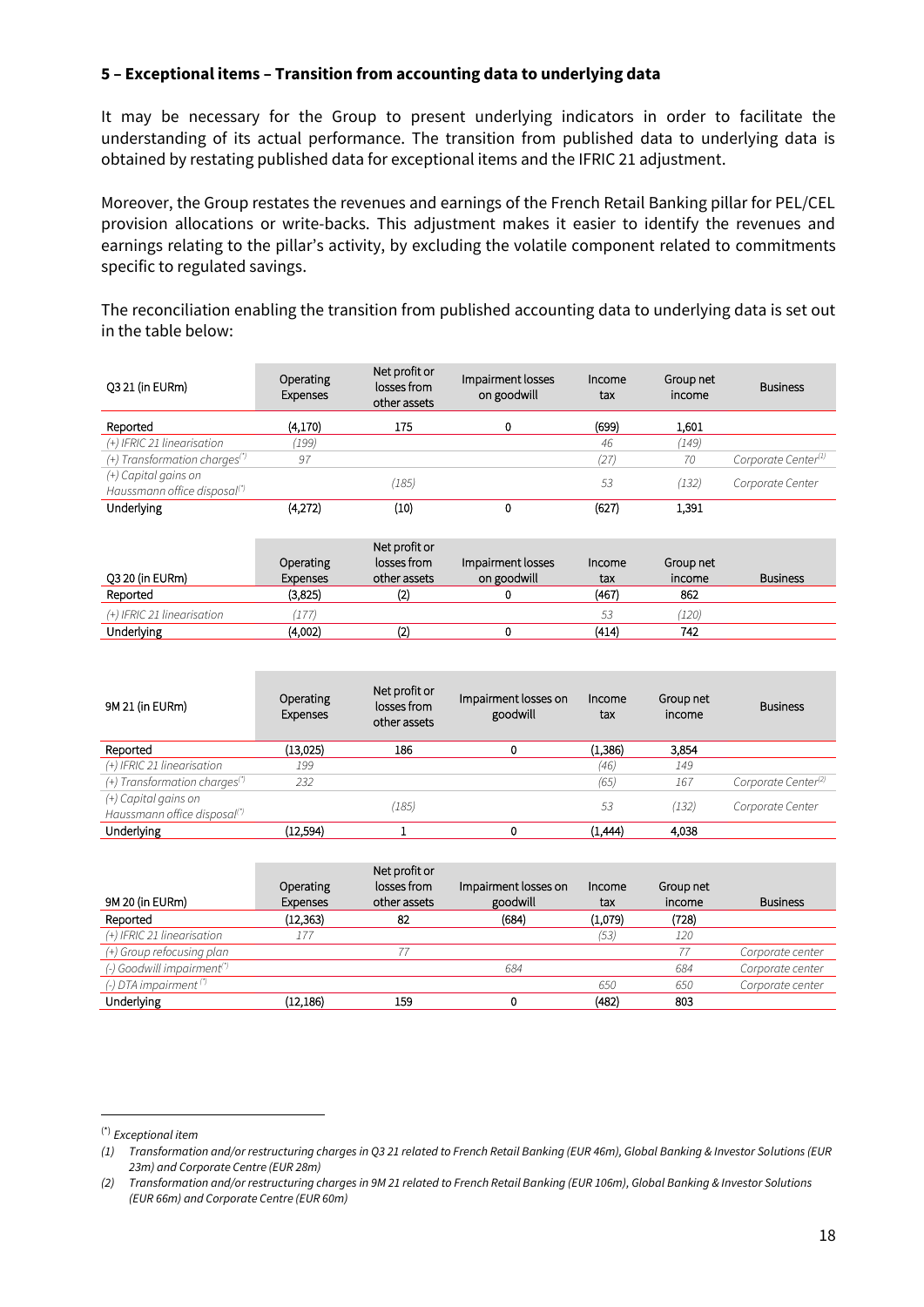## **5 – Exceptional items – Transition from accounting data to underlying data**

It may be necessary for the Group to present underlying indicators in order to facilitate the understanding of its actual performance. The transition from published data to underlying data is obtained by restating published data for exceptional items and the IFRIC 21 adjustment.

Moreover, the Group restates the revenues and earnings of the French Retail Banking pillar for PEL/CEL provision allocations or write-backs. This adjustment makes it easier to identify the revenues and earnings relating to the pillar's activity, by excluding the volatile component related to commitments specific to regulated savings.

The reconciliation enabling the transition from published accounting data to underlying data is set out in the table below:

| Q3 21 (in EURm)                                                  | Operating<br>Expenses | Net profit or<br>losses from<br>other assets | Impairment losses<br>on goodwill | Income<br>tax | Group net<br>income | <b>Business</b>                 |
|------------------------------------------------------------------|-----------------------|----------------------------------------------|----------------------------------|---------------|---------------------|---------------------------------|
| Reported                                                         | (4,170)               | 175                                          |                                  | (699)         | 1.601               |                                 |
| (+) IFRIC 21 linearisation                                       | (199)                 |                                              |                                  | 46            | (149)               |                                 |
| $(+)$ Transformation charges <sup>(*)</sup>                      | 97                    |                                              |                                  | (27)          | 70                  | Corporate Center <sup>(1)</sup> |
| (+) Capital gains on<br>Haussmann office disposal <sup>(*)</sup> |                       | (185)                                        |                                  | 53            | (132)               | Corporate Center                |
| Underlying                                                       | (4,272)               | (10)                                         |                                  | (627)         | 1.391               |                                 |

| Q3 20 (in EURm)            | Operating<br><b>Expenses</b> | Net profit or<br>losses from<br>other assets | Impairment losses<br>on goodwill | Income<br>tax | Group net<br>income | <b>Business</b> |
|----------------------------|------------------------------|----------------------------------------------|----------------------------------|---------------|---------------------|-----------------|
| Reported                   | (3,825)                      | (2)                                          |                                  | (467)         | 862                 |                 |
| (+) IFRIC 21 linearisation | (177                         |                                              |                                  | 53            | (120)               |                 |
| Underlying                 | (4,002)                      | (2                                           |                                  | (414)         | 742                 |                 |

| 9M 21 (in EURm)                                                  | Operating<br>Expenses | Net profit or<br>losses from<br>other assets | Impairment losses on<br>goodwill | Income<br>tax | Group net<br>income | <b>Business</b>                 |
|------------------------------------------------------------------|-----------------------|----------------------------------------------|----------------------------------|---------------|---------------------|---------------------------------|
| Reported                                                         | (13,025)              | 186                                          |                                  | (1,386)       | 3.854               |                                 |
| (+) IFRIC 21 linearisation                                       | 199                   |                                              |                                  | (46)          | 149                 |                                 |
| $(+)$ Transformation charges <sup>(*)</sup>                      | 232                   |                                              |                                  | (65)          | 167                 | Corporate Center <sup>(2)</sup> |
| (+) Capital gains on<br>Haussmann office disposal <sup>(*)</sup> |                       | (185)                                        |                                  | 53            | (132)               | Corporate Center                |
| Underlying                                                       | (12,594)              |                                              |                                  | (1, 444)      | 4,038               |                                 |

|                                        |                 | Net profit or |                      |         |           |                  |
|----------------------------------------|-----------------|---------------|----------------------|---------|-----------|------------------|
|                                        | Operating       | losses from   | Impairment losses on | Income  | Group net |                  |
| 9M 20 (in EURm)                        | <b>Expenses</b> | other assets  | goodwill             | tax     | income    | <b>Business</b>  |
| Reported                               | (12.363)        | 82            | (684)                | (1,079) | (728)     |                  |
| (+) IFRIC 21 linearisation             | 177             |               |                      | (53)    | 120       |                  |
| (+) Group refocusing plan              |                 |               |                      |         |           | Corporate center |
| (-) Goodwill impairment <sup>(*)</sup> |                 |               | 684                  |         | 684       | Corporate center |
| (-) DTA impairment <sup>(*)</sup>      |                 |               |                      | 650     | 650       | Corporate center |
| Underlying                             | (12, 186)       | 159           | 0                    | (482)   | 803       |                  |

<sup>(\*)</sup> *Exceptional item*

*<sup>(1)</sup> Transformation and/or restructuring charges in Q3 21 related to French Retail Banking (EUR 46m), Global Banking & Investor Solutions (EUR 23m) and Corporate Centre (EUR 28m)* 

*<sup>(2)</sup> Transformation and/or restructuring charges in 9M 21 related to French Retail Banking (EUR 106m), Global Banking & Investor Solutions (EUR 66m) and Corporate Centre (EUR 60m)*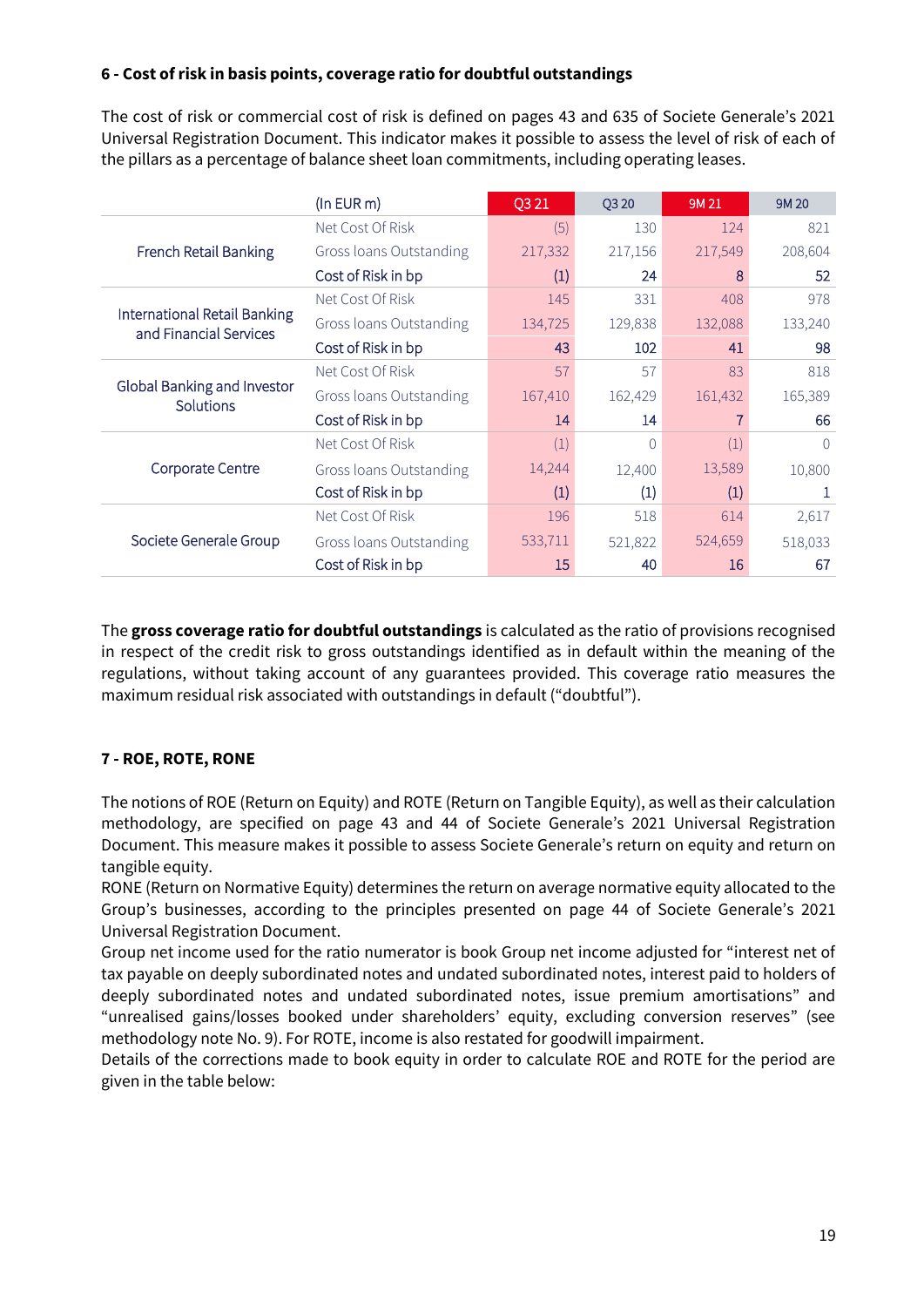## **6 - Cost of risk in basis points, coverage ratio for doubtful outstandings**

The cost of risk or commercial cost of risk is defined on pages 43 and 635 of Societe Generale's 2021 Universal Registration Document. This indicator makes it possible to assess the level of risk of each of the pillars as a percentage of balance sheet loan commitments, including operating leases.

|                                                               | $(ln$ EUR m $)$         | Q3 21   | Q3 20    | 9M 21   | 9M 20    |
|---------------------------------------------------------------|-------------------------|---------|----------|---------|----------|
|                                                               | Net Cost Of Risk        | (5)     | 130      | 124     | 821      |
| French Retail Banking                                         | Gross loans Outstanding | 217,332 | 217,156  | 217,549 | 208,604  |
|                                                               | Cost of Risk in bp      | (1)     | 24       | 8       | 52       |
|                                                               | Net Cost Of Risk        | 145     | 331      | 408     | 978      |
| <b>International Retail Banking</b><br>and Financial Services | Gross loans Outstanding | 134,725 | 129,838  | 132,088 | 133,240  |
|                                                               | Cost of Risk in bp      | 43      | 102      | 41      | 98       |
|                                                               | Net Cost Of Risk        | 57      | 57       | 83      | 818      |
| Global Banking and Investor<br>Solutions                      | Gross loans Outstanding | 167,410 | 162,429  | 161,432 | 165,389  |
|                                                               | Cost of Risk in bp      | 14      | 14       |         | 66       |
|                                                               | Net Cost Of Risk        | (1)     | $\Omega$ | (1)     | $\Omega$ |
| <b>Corporate Centre</b>                                       | Gross loans Outstanding | 14,244  | 12,400   | 13,589  | 10,800   |
|                                                               | Cost of Risk in bp      | (1)     | (1)      | (1)     | 1        |
|                                                               | Net Cost Of Risk        | 196     | 518      | 614     | 2,617    |
| Societe Generale Group                                        | Gross loans Outstanding | 533,711 | 521,822  | 524,659 | 518,033  |
|                                                               | Cost of Risk in bp      | 15      | 40       | 16      | 67       |

The **gross coverage ratio for doubtful outstandings** is calculated as the ratio of provisions recognised in respect of the credit risk to gross outstandings identified as in default within the meaning of the regulations, without taking account of any guarantees provided. This coverage ratio measures the maximum residual risk associated with outstandings in default ("doubtful").

## **7 - ROE, ROTE, RONE**

The notions of ROE (Return on Equity) and ROTE (Return on Tangible Equity), as well as their calculation methodology, are specified on page 43 and 44 of Societe Generale's 2021 Universal Registration Document. This measure makes it possible to assess Societe Generale's return on equity and return on tangible equity.

RONE (Return on Normative Equity) determines the return on average normative equity allocated to the Group's businesses, according to the principles presented on page 44 of Societe Generale's 2021 Universal Registration Document.

Group net income used for the ratio numerator is book Group net income adjusted for "interest net of tax payable on deeply subordinated notes and undated subordinated notes, interest paid to holders of deeply subordinated notes and undated subordinated notes, issue premium amortisations" and "unrealised gains/losses booked under shareholders' equity, excluding conversion reserves" (see methodology note No. 9). For ROTE, income is also restated for goodwill impairment.

Details of the corrections made to book equity in order to calculate ROE and ROTE for the period are given in the table below: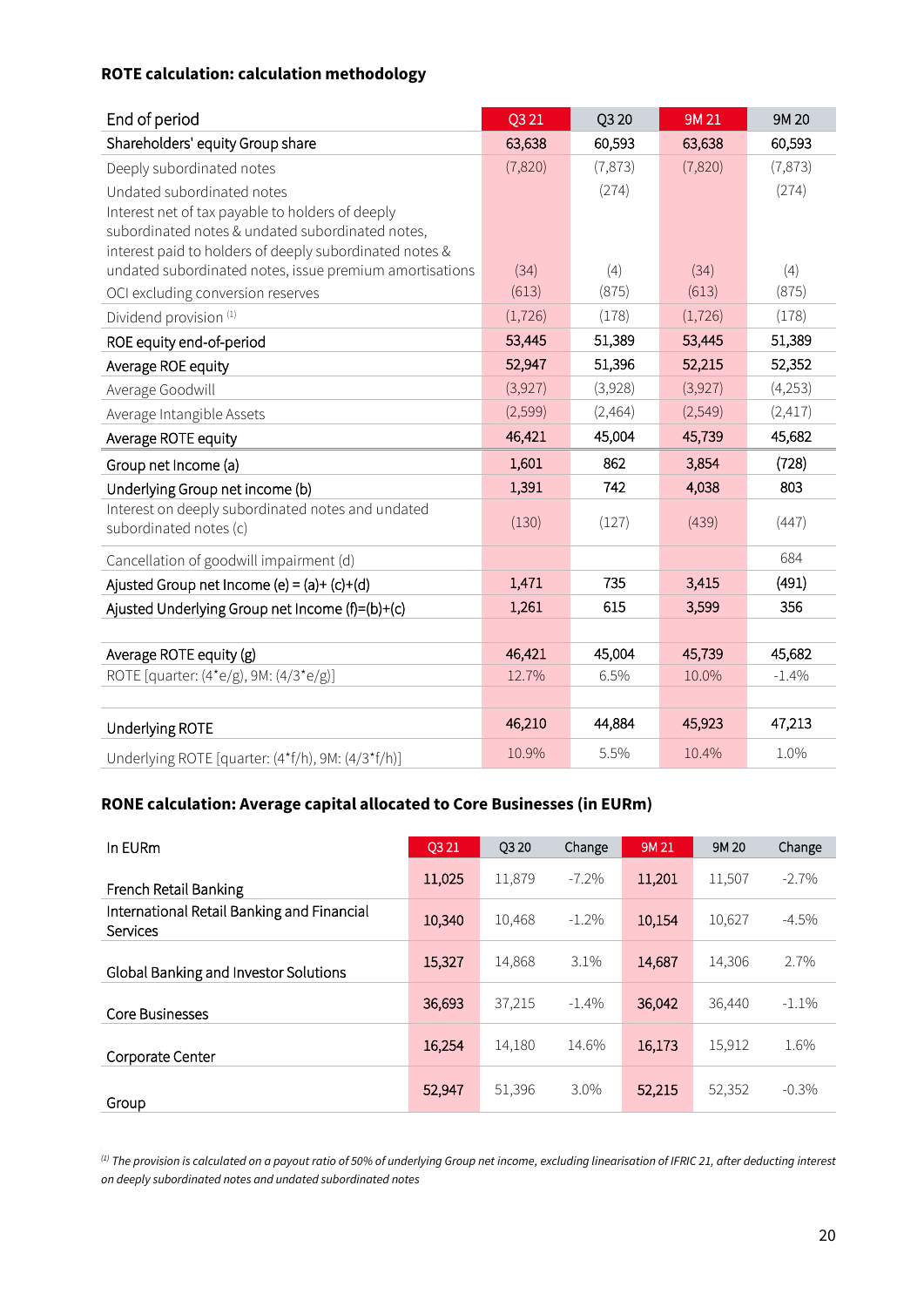# **ROTE calculation: calculation methodology**

| End of period                                                                                                                                                                                 | Q3 21    | Q3 20    | 9M 21    | 9M 20   |
|-----------------------------------------------------------------------------------------------------------------------------------------------------------------------------------------------|----------|----------|----------|---------|
| Shareholders' equity Group share                                                                                                                                                              | 63,638   | 60,593   | 63,638   | 60,593  |
| Deeply subordinated notes                                                                                                                                                                     | (7,820)  | (7, 873) | (7,820)  | (7,873) |
| Undated subordinated notes<br>Interest net of tax payable to holders of deeply<br>subordinated notes & undated subordinated notes,<br>interest paid to holders of deeply subordinated notes & |          | (274)    |          | (274)   |
| undated subordinated notes, issue premium amortisations                                                                                                                                       | (34)     | (4)      | (34)     | (4)     |
| OCI excluding conversion reserves                                                                                                                                                             | (613)    | (875)    | (613)    | (875)   |
| Dividend provision <sup>(1)</sup>                                                                                                                                                             | (1, 726) | (178)    | (1, 726) | (178)   |
| ROE equity end-of-period                                                                                                                                                                      | 53,445   | 51,389   | 53,445   | 51,389  |
| Average ROE equity                                                                                                                                                                            | 52,947   | 51,396   | 52,215   | 52,352  |
| Average Goodwill                                                                                                                                                                              | (3,927)  | (3,928)  | (3,927)  | (4,253) |
| Average Intangible Assets                                                                                                                                                                     | (2,599)  | (2,464)  | (2,549)  | (2,417) |
| Average ROTE equity                                                                                                                                                                           | 46,421   | 45,004   | 45,739   | 45,682  |
| Group net Income (a)                                                                                                                                                                          | 1,601    | 862      | 3,854    | (728)   |
| Underlying Group net income (b)                                                                                                                                                               | 1,391    | 742      | 4,038    | 803     |
| Interest on deeply subordinated notes and undated<br>subordinated notes (c)                                                                                                                   | (130)    | (127)    | (439)    | (447)   |
| Cancellation of goodwill impairment (d)                                                                                                                                                       |          |          |          | 684     |
| Ajusted Group net Income (e) = $(a) + (c) + (d)$                                                                                                                                              | 1,471    | 735      | 3,415    | (491)   |
| Ajusted Underlying Group net Income (f)=(b)+(c)                                                                                                                                               | 1,261    | 615      | 3,599    | 356     |
|                                                                                                                                                                                               |          |          |          |         |
| Average ROTE equity (g)                                                                                                                                                                       | 46,421   | 45,004   | 45,739   | 45,682  |
| ROTE [quarter: (4*e/g), 9M: (4/3*e/g)]                                                                                                                                                        | 12.7%    | 6.5%     | 10.0%    | $-1.4%$ |
|                                                                                                                                                                                               |          |          |          |         |
| Underlying ROTE                                                                                                                                                                               | 46,210   | 44,884   | 45,923   | 47,213  |
| Underlying ROTE [quarter: (4*f/h), 9M: (4/3*f/h)]                                                                                                                                             | 10.9%    | 5.5%     | 10.4%    | 1.0%    |

## **RONE calculation: Average capital allocated to Core Businesses (in EURm)**

| In EURm                                                | <b>0321</b> | <b>Q320</b> | Change   | 9M 21  | 9M 20  | Change   |
|--------------------------------------------------------|-------------|-------------|----------|--------|--------|----------|
| French Retail Banking                                  | 11,025      | 11,879      | $-7.2\%$ | 11,201 | 11,507 | $-2.7\%$ |
| International Retail Banking and Financial<br>Services | 10,340      | 10.468      | $-1.2\%$ | 10,154 | 10,627 | $-4.5\%$ |
| Global Banking and Investor Solutions                  | 15,327      | 14,868      | $3.1\%$  | 14,687 | 14,306 | 2.7%     |
| <b>Core Businesses</b>                                 | 36,693      | 37,215      | $-1.4\%$ | 36,042 | 36,440 | $-1.1\%$ |
| Corporate Center                                       | 16,254      | 14,180      | 14.6%    | 16,173 | 15,912 | 1.6%     |
| Group                                                  | 52,947      | 51,396      | $3.0\%$  | 52,215 | 52,352 | $-0.3\%$ |

*(1) The provision is calculated on a payout ratio of 50% of underlying Group net income, excluding linearisation of IFRIC 21, after deducting interest on deeply subordinated notes and undated subordinated notes*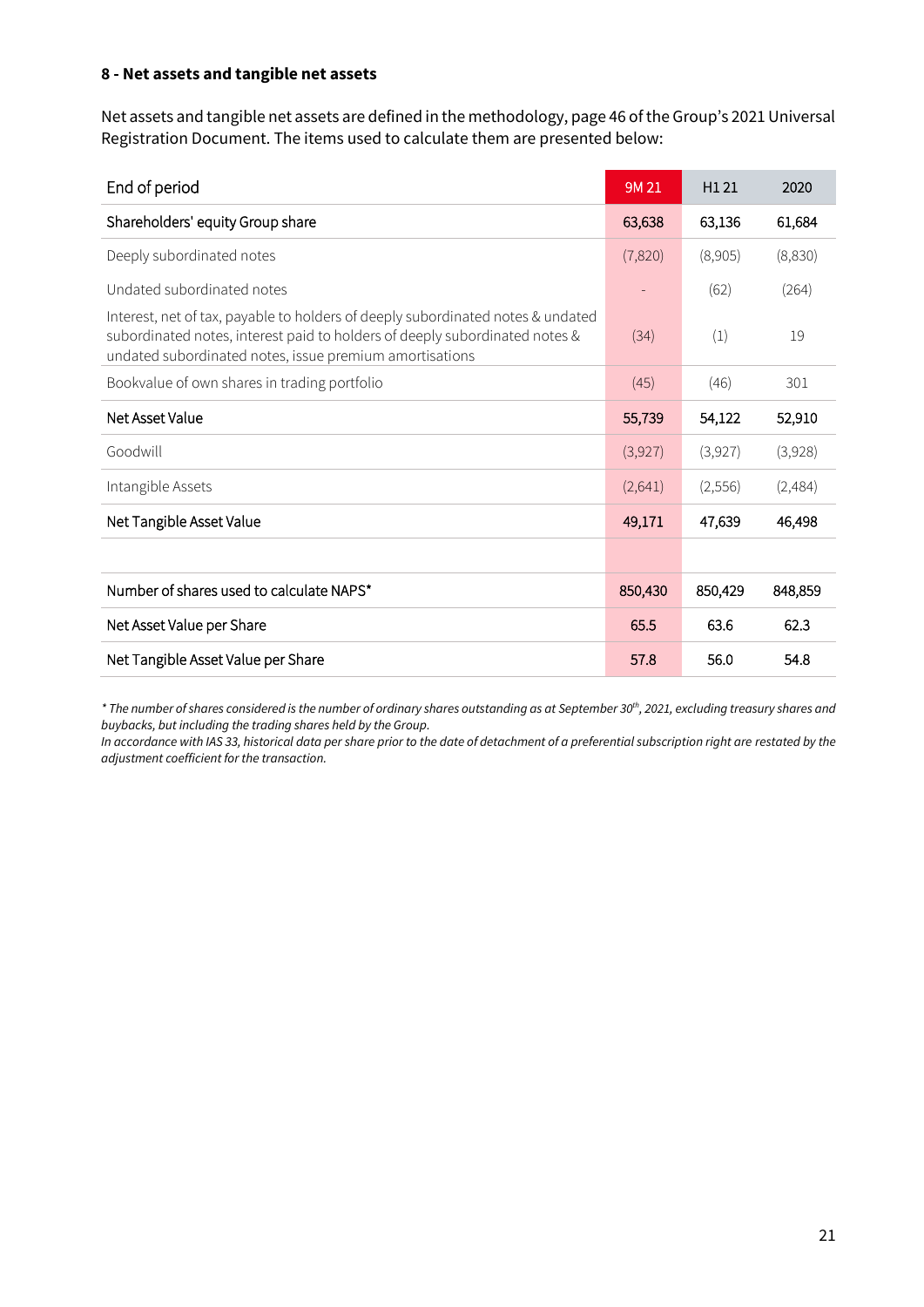#### **8 - Net assets and tangible net assets**

Net assets and tangible net assets are defined in the methodology, page 46 of the Group's 2021 Universal Registration Document. The items used to calculate them are presented below:

| End of period                                                                                                                                                                                                             | 9M 21   | H <sub>1</sub> 21 | 2020    |
|---------------------------------------------------------------------------------------------------------------------------------------------------------------------------------------------------------------------------|---------|-------------------|---------|
| Shareholders' equity Group share                                                                                                                                                                                          | 63,638  | 63,136            | 61,684  |
| Deeply subordinated notes                                                                                                                                                                                                 | (7,820) | (8,905)           | (8,830) |
| Undated subordinated notes                                                                                                                                                                                                |         | (62)              | (264)   |
| Interest, net of tax, payable to holders of deeply subordinated notes & undated<br>subordinated notes, interest paid to holders of deeply subordinated notes &<br>undated subordinated notes, issue premium amortisations | (34)    | (1)               | 19      |
| Bookvalue of own shares in trading portfolio                                                                                                                                                                              | (45)    | (46)              | 301     |
| Net Asset Value                                                                                                                                                                                                           | 55,739  | 54,122            | 52,910  |
| Goodwill                                                                                                                                                                                                                  | (3,927) | (3,927)           | (3,928) |
| Intangible Assets                                                                                                                                                                                                         | (2,641) | (2,556)           | (2,484) |
| Net Tangible Asset Value                                                                                                                                                                                                  | 49,171  | 47,639            | 46,498  |
|                                                                                                                                                                                                                           |         |                   |         |
| Number of shares used to calculate NAPS*                                                                                                                                                                                  | 850,430 | 850,429           | 848,859 |
| Net Asset Value per Share                                                                                                                                                                                                 | 65.5    | 63.6              | 62.3    |
| Net Tangible Asset Value per Share                                                                                                                                                                                        | 57.8    | 56.0              | 54.8    |

*\* The number of shares considered is the number of ordinary shares outstanding as at September 30th , 2021, excluding treasury shares and buybacks, but including the trading shares held by the Group.*

*In accordance with IAS 33, historical data per share prior to the date of detachment of a preferential subscription right are restated by the adjustment coefficient for the transaction.*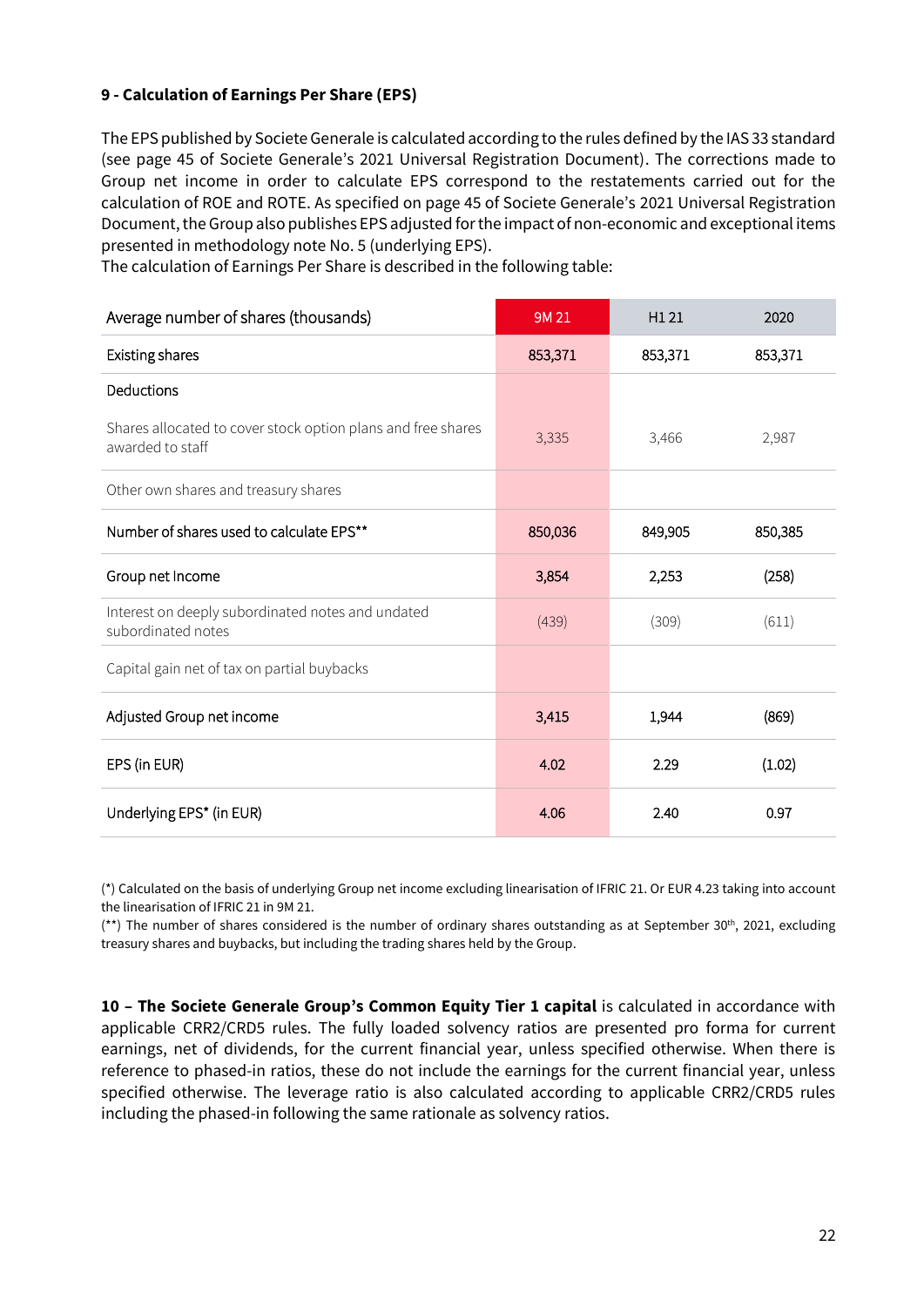## **9 - Calculation of Earnings Per Share (EPS)**

The EPS published by Societe Generale is calculated according to the rules defined by the IAS 33 standard (see page 45 of Societe Generale's 2021 Universal Registration Document). The corrections made to Group net income in order to calculate EPS correspond to the restatements carried out for the calculation of ROE and ROTE. As specified on page 45 of Societe Generale's 2021 Universal Registration Document, the Group also publishes EPS adjusted for the impact of non-economic and exceptional items presented in methodology note No. 5 (underlying EPS).

| Average number of shares (thousands)                                             | 9M 21   | H <sub>1</sub> 21 | 2020    |
|----------------------------------------------------------------------------------|---------|-------------------|---------|
| Existing shares                                                                  | 853,371 | 853,371           | 853,371 |
| Deductions                                                                       |         |                   |         |
| Shares allocated to cover stock option plans and free shares<br>awarded to staff | 3,335   | 3,466             | 2,987   |
| Other own shares and treasury shares                                             |         |                   |         |
| Number of shares used to calculate EPS**                                         | 850,036 | 849,905           | 850,385 |
| Group net Income                                                                 | 3,854   | 2,253             | (258)   |
| Interest on deeply subordinated notes and undated<br>subordinated notes          | (439)   | (309)             | (611)   |
| Capital gain net of tax on partial buybacks                                      |         |                   |         |
| Adjusted Group net income                                                        | 3,415   | 1,944             | (869)   |
| EPS (in EUR)                                                                     | 4.02    | 2.29              | (1.02)  |
| Underlying EPS* (in EUR)                                                         | 4.06    | 2.40              | 0.97    |

The calculation of Earnings Per Share is described in the following table:

(\*) Calculated on the basis of underlying Group net income excluding linearisation of IFRIC 21. Or EUR 4.23 taking into account the linearisation of IFRIC 21 in 9M 21.

(\*\*) The number of shares considered is the number of ordinary shares outstanding as at September 30<sup>th</sup>, 2021, excluding treasury shares and buybacks, but including the trading shares held by the Group.

**10 – The Societe Generale Group's Common Equity Tier 1 capital** is calculated in accordance with applicable CRR2/CRD5 rules. The fully loaded solvency ratios are presented pro forma for current earnings, net of dividends, for the current financial year, unless specified otherwise. When there is reference to phased-in ratios, these do not include the earnings for the current financial year, unless specified otherwise. The leverage ratio is also calculated according to applicable CRR2/CRD5 rules including the phased-in following the same rationale as solvency ratios.